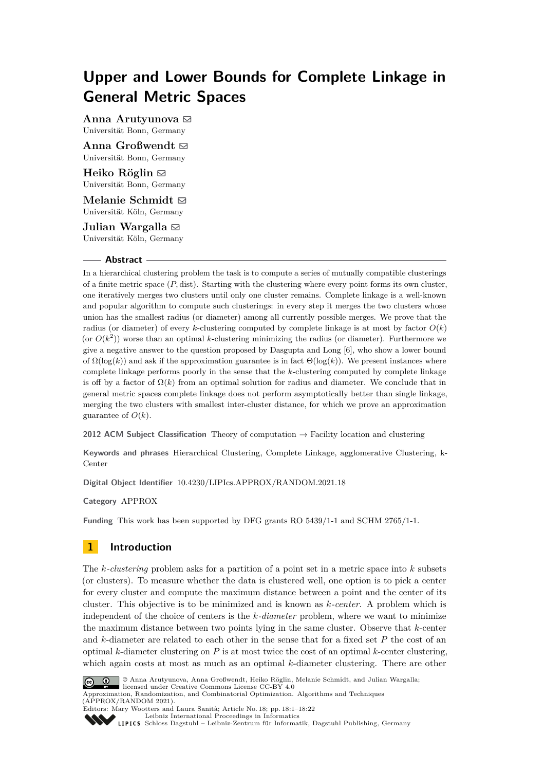# **Upper and Lower Bounds for Complete Linkage in General Metric Spaces**

Anna Arutyunova  $\boxtimes$ Universität Bonn, Germany

Anna Großwendt  $\boxtimes$ Universität Bonn, Germany

Heiko Röglin  $\boxdot$ Universität Bonn, Germany

**Melanie Schmidt** ⊠ Universität Köln, Germany

**Julian Wargalla**  $\boxdot$ Universität Köln, Germany

#### **Abstract**

In a hierarchical clustering problem the task is to compute a series of mutually compatible clusterings of a finite metric space  $(P, dist)$ . Starting with the clustering where every point forms its own cluster, one iteratively merges two clusters until only one cluster remains. Complete linkage is a well-known and popular algorithm to compute such clusterings: in every step it merges the two clusters whose union has the smallest radius (or diameter) among all currently possible merges. We prove that the radius (or diameter) of every *k*-clustering computed by complete linkage is at most by factor  $O(k)$ (or  $O(k^2)$ ) worse than an optimal *k*-clustering minimizing the radius (or diameter). Furthermore we give a negative answer to the question proposed by Dasgupta and Long [\[6\]](#page-16-0), who show a lower bound of  $\Omega(\log(k))$  and ask if the approximation guarantee is in fact  $\Theta(\log(k))$ . We present instances where complete linkage performs poorly in the sense that the *k*-clustering computed by complete linkage is off by a factor of  $\Omega(k)$  from an optimal solution for radius and diameter. We conclude that in general metric spaces complete linkage does not perform asymptotically better than single linkage, merging the two clusters with smallest inter-cluster distance, for which we prove an approximation guarantee of  $O(k)$ .

**2012 ACM Subject Classification** Theory of computation → Facility location and clustering

**Keywords and phrases** Hierarchical Clustering, Complete Linkage, agglomerative Clustering, k-Center

**Digital Object Identifier** [10.4230/LIPIcs.APPROX/RANDOM.2021.18](https://doi.org/10.4230/LIPIcs.APPROX/RANDOM.2021.18)

**Category** APPROX

**Funding** This work has been supported by DFG grants RO 5439/1-1 and SCHM 2765/1-1.

# **1 Introduction**

The *k-clustering* problem asks for a partition of a point set in a metric space into *k* subsets (or clusters). To measure whether the data is clustered well, one option is to pick a center for every cluster and compute the maximum distance between a point and the center of its cluster. This objective is to be minimized and is known as *k-center*. A problem which is independent of the choice of centers is the *k-diameter* problem, where we want to minimize the maximum distance between two points lying in the same cluster. Observe that *k*-center and *k*-diameter are related to each other in the sense that for a fixed set *P* the cost of an optimal *k*-diameter clustering on *P* is at most twice the cost of an optimal *k*-center clustering, which again costs at most as much as an optimal *k*-diameter clustering. There are other



© Anna Arutyunova, Anna Großwendt, Heiko Röglin, Melanie Schmidt, and Julian Wargalla; licensed under Creative Commons License CC-BY 4.0 Approximation, Randomization, and Combinatorial Optimization. Algorithms and Techniques (APPROX/RANDOM 2021).



Editors: Mary Wootters and Laura Sanità; Article No. 18; pp. 18:1–18:22 [Leibniz International Proceedings in Informatics](https://www.dagstuhl.de/lipics/)

[Schloss Dagstuhl – Leibniz-Zentrum für Informatik, Dagstuhl Publishing, Germany](https://www.dagstuhl.de)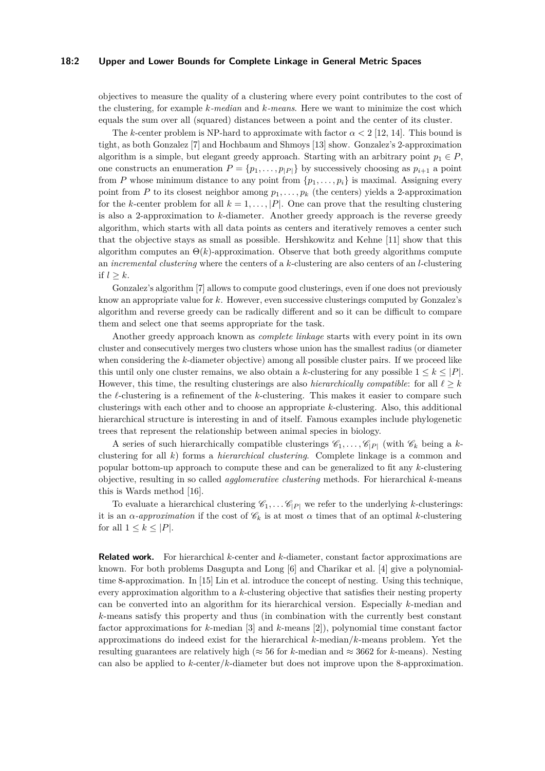#### **18:2 Upper and Lower Bounds for Complete Linkage in General Metric Spaces**

objectives to measure the quality of a clustering where every point contributes to the cost of the clustering, for example *k-median* and *k-means*. Here we want to minimize the cost which equals the sum over all (squared) distances between a point and the center of its cluster.

The *k*-center problem is NP-hard to approximate with factor  $\alpha < 2$  [\[12,](#page-16-1) [14\]](#page-16-2). This bound is tight, as both Gonzalez [\[7\]](#page-16-3) and Hochbaum and Shmoys [\[13\]](#page-16-4) show. Gonzalez's 2-approximation algorithm is a simple, but elegant greedy approach. Starting with an arbitrary point  $p_1 \in P$ , one constructs an enumeration  $P = \{p_1, \ldots, p_{|P|}\}\$  by successively choosing as  $p_{i+1}$  a point from *P* whose minimum distance to any point from  $\{p_1, \ldots, p_i\}$  is maximal. Assigning every point from *P* to its closest neighbor among  $p_1, \ldots, p_k$  (the centers) yields a 2-approximation for the *k*-center problem for all  $k = 1, \ldots, |P|$ . One can prove that the resulting clustering is also a 2-approximation to *k*-diameter. Another greedy approach is the reverse greedy algorithm, which starts with all data points as centers and iteratively removes a center such that the objective stays as small as possible. Hershkowitz and Kehne [\[11\]](#page-16-5) show that this algorithm computes an  $\Theta(k)$ -approximation. Observe that both greedy algorithms compute an *incremental clustering* where the centers of a *k*-clustering are also centers of an *l*-clustering if  $l > k$ .

Gonzalez's algorithm [\[7\]](#page-16-3) allows to compute good clusterings, even if one does not previously know an appropriate value for *k*. However, even successive clusterings computed by Gonzalez's algorithm and reverse greedy can be radically different and so it can be difficult to compare them and select one that seems appropriate for the task.

Another greedy approach known as *complete linkage* starts with every point in its own cluster and consecutively merges two clusters whose union has the smallest radius (or diameter when considering the *k*-diameter objective) among all possible cluster pairs. If we proceed like this until only one cluster remains, we also obtain a *k*-clustering for any possible  $1 \leq k \leq |P|$ . However, this time, the resulting clusterings are also *hierarchically compatible*: for all  $\ell \geq k$ the *ℓ*-clustering is a refinement of the *k*-clustering. This makes it easier to compare such clusterings with each other and to choose an appropriate *k*-clustering. Also, this additional hierarchical structure is interesting in and of itself. Famous examples include phylogenetic trees that represent the relationship between animal species in biology.

A series of such hierarchically compatible clusterings  $\mathscr{C}_1, \ldots, \mathscr{C}_{|P|}$  (with  $\mathscr{C}_k$  being a *k*clustering for all *k*) forms a *hierarchical clustering*. Complete linkage is a common and popular bottom-up approach to compute these and can be generalized to fit any *k*-clustering objective, resulting in so called *agglomerative clustering* methods. For hierarchical *k*-means this is Wards method [\[16\]](#page-16-6).

To evaluate a hierarchical clustering  $\mathscr{C}_1, \ldots \mathscr{C}_{|P|}$  we refer to the underlying *k*-clusterings: it is an *α*-*approximation* if the cost of  $\mathscr{C}_k$  is at most  $\alpha$  times that of an optimal *k*-clustering for all  $1 \leq k \leq |P|$ .

**Related work.** For hierarchical *k*-center and *k*-diameter, constant factor approximations are known. For both problems Dasgupta and Long [\[6\]](#page-16-0) and Charikar et al. [\[4\]](#page-16-7) give a polynomialtime 8-approximation. In [\[15\]](#page-16-8) Lin et al. introduce the concept of nesting. Using this technique, every approximation algorithm to a *k*-clustering objective that satisfies their nesting property can be converted into an algorithm for its hierarchical version. Especially *k*-median and *k*-means satisfy this property and thus (in combination with the currently best constant factor approximations for *k*-median [\[3\]](#page-16-9) and *k*-means [\[2\]](#page-16-10)), polynomial time constant factor approximations do indeed exist for the hierarchical *k*-median/*k*-means problem. Yet the resulting guarantees are relatively high ( $\approx 56$  for *k*-median and  $\approx 3662$  for *k*-means). Nesting can also be applied to *k*-center/*k*-diameter but does not improve upon the 8-approximation.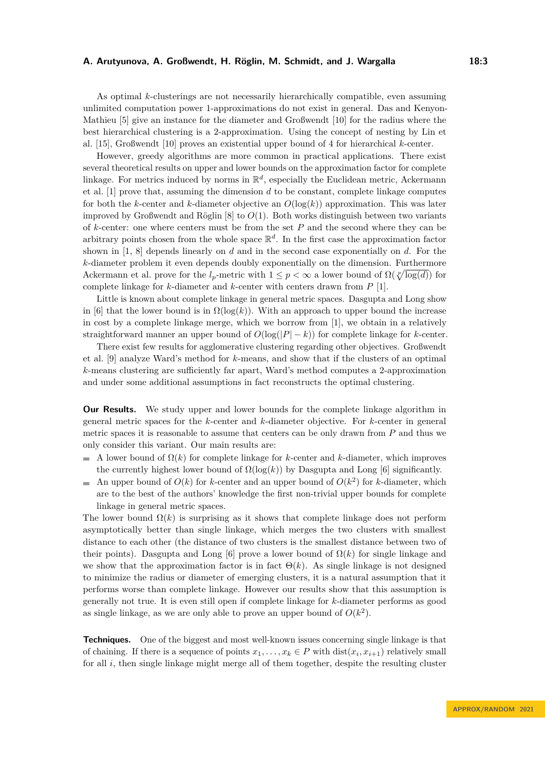As optimal *k*-clusterings are not necessarily hierarchically compatible, even assuming unlimited computation power 1-approximations do not exist in general. Das and Kenyon-Mathieu [\[5\]](#page-16-11) give an instance for the diameter and Großwendt [\[10\]](#page-16-12) for the radius where the best hierarchical clustering is a 2-approximation. Using the concept of nesting by Lin et al. [\[15\]](#page-16-8), Großwendt [\[10\]](#page-16-12) proves an existential upper bound of 4 for hierarchical *k*-center.

However, greedy algorithms are more common in practical applications. There exist several theoretical results on upper and lower bounds on the approximation factor for complete linkage. For metrics induced by norms in  $\mathbb{R}^d$ , especially the Euclidean metric, Ackermann et al. [\[1\]](#page-16-13) prove that, assuming the dimension *d* to be constant, complete linkage computes for both the *k*-center and *k*-diameter objective an  $O(\log(k))$  approximation. This was later improved by Großwendt and Röglin [\[8\]](#page-16-14) to *O*(1). Both works distinguish between two variants of *k*-center: one where centers must be from the set *P* and the second where they can be arbitrary points chosen from the whole space  $\mathbb{R}^d$ . In the first case the approximation factor shown in [\[1,](#page-16-13) [8\]](#page-16-14) depends linearly on *d* and in the second case exponentially on *d*. For the *k*-diameter problem it even depends doubly exponentially on the dimension. Furthermore Ackermann et al. prove for the  $l_p$ -metric with  $1 \leq p < \infty$  a lower bound of  $\Omega(\sqrt[p]{\log(d)})$  for complete linkage for *k*-diameter and *k*-center with centers drawn from *P* [\[1\]](#page-16-13).

Little is known about complete linkage in general metric spaces. Dasgupta and Long show in [\[6\]](#page-16-0) that the lower bound is in  $\Omega(\log(k))$ . With an approach to upper bound the increase in cost by a complete linkage merge, which we borrow from [\[1\]](#page-16-13), we obtain in a relatively straightforward manner an upper bound of  $O(\log(|P| - k))$  for complete linkage for *k*-center.

There exist few results for agglomerative clustering regarding other objectives. Großwendt et al. [\[9\]](#page-16-15) analyze Ward's method for *k*-means, and show that if the clusters of an optimal *k*-means clustering are sufficiently far apart, Ward's method computes a 2-approximation and under some additional assumptions in fact reconstructs the optimal clustering.

**Our Results.** We study upper and lower bounds for the complete linkage algorithm in general metric spaces for the *k*-center and *k*-diameter objective. For *k*-center in general metric spaces it is reasonable to assume that centers can be only drawn from *P* and thus we only consider this variant. Our main results are:

- A lower bound of  $\Omega(k)$  for complete linkage for *k*-center and *k*-diameter, which improves the currently highest lower bound of  $\Omega(\log(k))$  by Dasgupta and Long [\[6\]](#page-16-0) significantly.
- An upper bound of  $O(k)$  for *k*-center and an upper bound of  $O(k^2)$  for *k*-diameter, which are to the best of the authors' knowledge the first non-trivial upper bounds for complete linkage in general metric spaces.

The lower bound  $\Omega(k)$  is surprising as it shows that complete linkage does not perform asymptotically better than single linkage, which merges the two clusters with smallest distance to each other (the distance of two clusters is the smallest distance between two of their points). Dasgupta and Long [\[6\]](#page-16-0) prove a lower bound of  $\Omega(k)$  for single linkage and we show that the approximation factor is in fact  $\Theta(k)$ . As single linkage is not designed to minimize the radius or diameter of emerging clusters, it is a natural assumption that it performs worse than complete linkage. However our results show that this assumption is generally not true. It is even still open if complete linkage for *k*-diameter performs as good as single linkage, as we are only able to prove an upper bound of  $O(k^2)$ .

**Techniques.** One of the biggest and most well-known issues concerning single linkage is that of chaining. If there is a sequence of points  $x_1, \ldots, x_k \in P$  with  $dist(x_i, x_{i+1})$  relatively small for all *i*, then single linkage might merge all of them together, despite the resulting cluster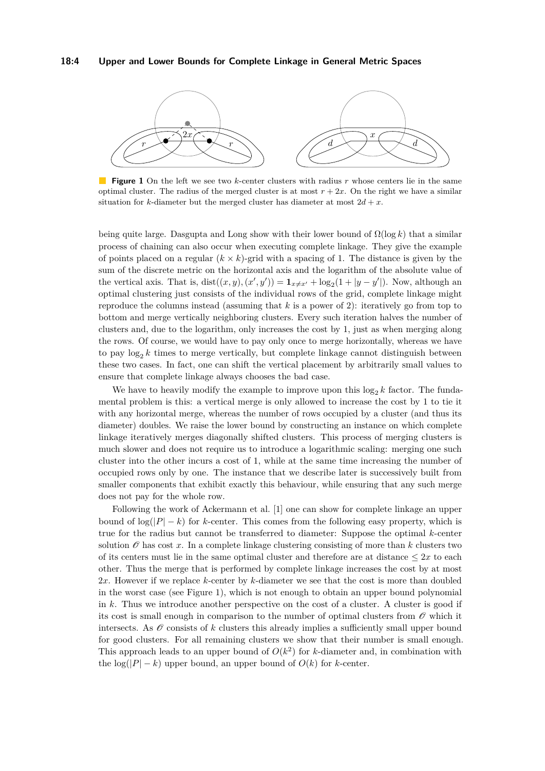#### **18:4 Upper and Lower Bounds for Complete Linkage in General Metric Spaces**

<span id="page-3-0"></span>

**Figure 1** On the left we see two *k*-center clusters with radius *r* whose centers lie in the same optimal cluster. The radius of the merged cluster is at most  $r + 2x$ . On the right we have a similar situation for *k*-diameter but the merged cluster has diameter at most  $2d + x$ .

being quite large. Dasgupta and Long show with their lower bound of Ω(log *k*) that a similar process of chaining can also occur when executing complete linkage. They give the example of points placed on a regular  $(k \times k)$ -grid with a spacing of 1. The distance is given by the sum of the discrete metric on the horizontal axis and the logarithm of the absolute value of the vertical axis. That is,  $dist((x, y), (x', y')) = \mathbf{1}_{x \neq x'} + \log_2(1 + |y - y'|)$ . Now, although an optimal clustering just consists of the individual rows of the grid, complete linkage might reproduce the columns instead (assuming that *k* is a power of 2): iteratively go from top to bottom and merge vertically neighboring clusters. Every such iteration halves the number of clusters and, due to the logarithm, only increases the cost by 1, just as when merging along the rows. Of course, we would have to pay only once to merge horizontally, whereas we have to pay  $\log_2 k$  times to merge vertically, but complete linkage cannot distinguish between these two cases. In fact, one can shift the vertical placement by arbitrarily small values to ensure that complete linkage always chooses the bad case.

We have to heavily modify the example to improve upon this  $\log_2 k$  factor. The fundamental problem is this: a vertical merge is only allowed to increase the cost by 1 to tie it with any horizontal merge, whereas the number of rows occupied by a cluster (and thus its diameter) doubles. We raise the lower bound by constructing an instance on which complete linkage iteratively merges diagonally shifted clusters. This process of merging clusters is much slower and does not require us to introduce a logarithmic scaling: merging one such cluster into the other incurs a cost of 1, while at the same time increasing the number of occupied rows only by one. The instance that we describe later is successively built from smaller components that exhibit exactly this behaviour, while ensuring that any such merge does not pay for the whole row.

Following the work of Ackermann et al. [\[1\]](#page-16-13) one can show for complete linkage an upper bound of  $\log(|P| - k)$  for *k*-center. This comes from the following easy property, which is true for the radius but cannot be transferred to diameter: Suppose the optimal *k*-center solution  $\mathscr O$  has cost x. In a complete linkage clustering consisting of more than  $k$  clusters two of its centers must lie in the same optimal cluster and therefore are at distance  $\leq 2x$  to each other. Thus the merge that is performed by complete linkage increases the cost by at most 2*x*. However if we replace *k*-center by *k*-diameter we see that the cost is more than doubled in the worst case (see Figure [1\)](#page-3-0), which is not enough to obtain an upper bound polynomial in *k*. Thus we introduce another perspective on the cost of a cluster. A cluster is good if its cost is small enough in comparison to the number of optimal clusters from  $\mathscr O$  which it intersects. As  $\mathscr O$  consists of  $k$  clusters this already implies a sufficiently small upper bound for good clusters. For all remaining clusters we show that their number is small enough. This approach leads to an upper bound of  $O(k^2)$  for *k*-diameter and, in combination with the  $\log(|P| - k)$  upper bound, an upper bound of  $O(k)$  for *k*-center.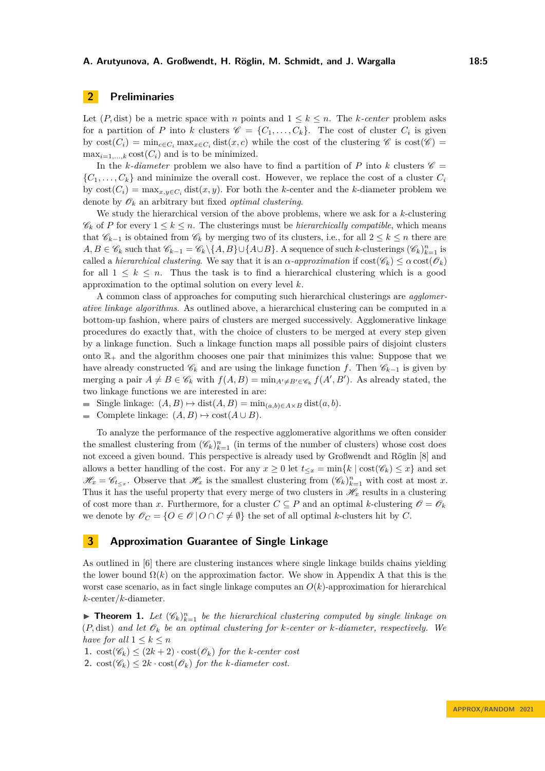# **2 Preliminaries**

Let  $(P, dist)$  be a metric space with *n* points and  $1 \leq k \leq n$ . The *k*-center problem asks for a partition of *P* into *k* clusters  $\mathscr{C} = \{C_1, \ldots, C_k\}$ . The cost of cluster  $C_i$  is given by  $\text{cost}(C_i) = \min_{c \in C_i} \max_{x \in C_i} \text{dist}(x, c)$  while the cost of the clustering  $\mathscr{C}$  is  $\text{cost}(\mathscr{C})$  $\max_{i=1,\ldots,k} \text{cost}(C_i)$  and is to be minimized.

In the *k*-diameter problem we also have to find a partition of P into *k* clusters  $\mathscr{C} =$  $\{C_1, \ldots, C_k\}$  and minimize the overall cost. However, we replace the cost of a cluster  $C_i$ by  $cost(C_i) = \max_{x,y \in C_i} dist(x,y)$ . For both the *k*-center and the *k*-diameter problem we denote by  $\mathscr{O}_k$  an arbitrary but fixed *optimal clustering*.

We study the hierarchical version of the above problems, where we ask for a *k*-clustering  $\mathscr{C}_k$  of *P* for every  $1 \leq k \leq n$ . The clusterings must be *hierarchically compatible*, which means that  $\mathscr{C}_{k-1}$  is obtained from  $\mathscr{C}_k$  by merging two of its clusters, i.e., for all  $2 \leq k \leq n$  there are *A, B* ∈  $\mathscr{C}_k$  such that  $\mathscr{C}_{k-1} = \mathscr{C}_k \setminus \{A, B\} \cup \{A \cup B\}$ . A sequence of such *k*-clusterings  $(\mathscr{C}_k)_{k=1}^n$  is called a *hierarchical clustering*. We say that it is an *α-approximation* if  $cost(\mathscr{C}_k) \leq \alpha \cos(\mathscr{O}_k)$ for all  $1 \leq k \leq n$ . Thus the task is to find a hierarchical clustering which is a good approximation to the optimal solution on every level *k*.

A common class of approaches for computing such hierarchical clusterings are *agglomerative linkage algorithms*. As outlined above, a hierarchical clustering can be computed in a bottom-up fashion, where pairs of clusters are merged successively. Agglomerative linkage procedures do exactly that, with the choice of clusters to be merged at every step given by a linkage function. Such a linkage function maps all possible pairs of disjoint clusters onto  $\mathbb{R}_+$  and the algorithm chooses one pair that minimizes this value: Suppose that we have already constructed  $\mathscr{C}_k$  and are using the linkage function *f*. Then  $\mathscr{C}_{k-1}$  is given by merging a pair  $A \neq B \in \mathscr{C}_k$  with  $f(A, B) = \min_{A' \neq B' \in \mathscr{C}_k} f(A', B')$ . As already stated, the two linkage functions we are interested in are:

Single linkage:  $(A, B) \mapsto \text{dist}(A, B) = \min_{(a, b) \in A \times B} \text{dist}(a, b).$ 

■ Complete linkage:  $(A, B) \mapsto \text{cost}(A \cup B)$ .

To analyze the performance of the respective agglomerative algorithms we often consider the smallest clustering from  $(\mathscr{C}_k)_{k=1}^n$  (in terms of the number of clusters) whose cost does not exceed a given bound. This perspective is already used by Großwendt and Röglin [\[8\]](#page-16-14) and allows a better handling of the cost. For any  $x \geq 0$  let  $t <sub>x</sub> = min\{k \mid \text{cost}(\mathscr{C}_k) \leq x\}$  and set  $\mathscr{H}_x = \mathscr{C}_{t_{\leq x}}$ . Observe that  $\mathscr{H}_x$  is the smallest clustering from  $(\mathscr{C}_k)_{k=1}^n$  with cost at most *x*. Thus it has the useful property that every merge of two clusters in  $\mathcal{H}_x$  results in a clustering of cost more than *x*. Furthermore, for a cluster  $C \subseteq P$  and an optimal *k*-clustering  $\mathcal{O} = \mathcal{O}_k$ we denote by  $\mathscr{O}_C = \{O \in \mathscr{O} \mid O \cap C \neq \emptyset\}$  the set of all optimal *k*-clusters hit by *C*.

# **3 Approximation Guarantee of Single Linkage**

As outlined in [\[6\]](#page-16-0) there are clustering instances where single linkage builds chains yielding the lower bound  $\Omega(k)$  on the approximation factor. We show in [A](#page-16-16)ppendix A that this is the worst case scenario, as in fact single linkage computes an *O*(*k*)-approximation for hierarchical *k*-center/*k*-diameter.

**• Theorem 1.** Let  $(\mathscr{C}_k)_{k=1}^n$  be the hierarchical clustering computed by single linkage on  $(P, dist)$  *and let*  $\mathcal{O}_k$  *be an optimal clustering for k-center or k-diameter, respectively. We have for all*  $1 \leq k \leq n$ 

1.  $\cos(\mathscr{C}_k) \leq (2k+2) \cdot \cos(\mathscr{O}_k)$  *for the k-center cost* 

**2.**  $\text{cost}(\mathscr{C}_k) \leq 2k \cdot \text{cost}(\mathscr{O}_k)$  *for the k-diameter cost.*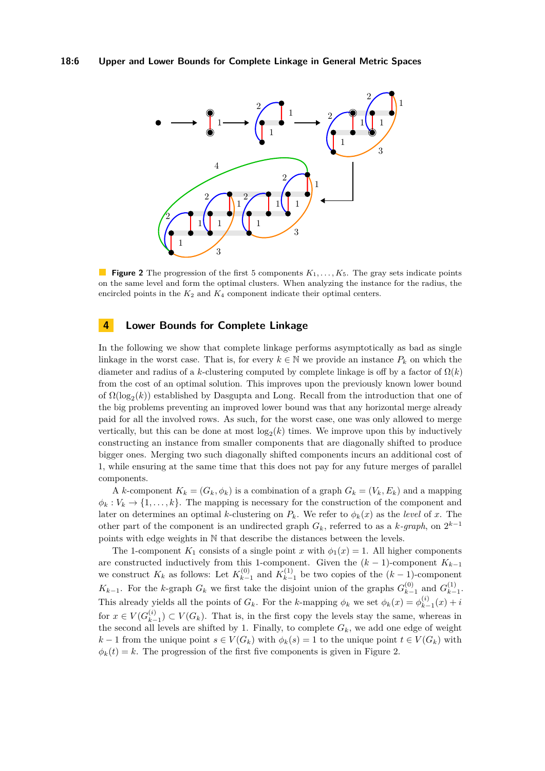<span id="page-5-0"></span>

**Figure 2** The progression of the first 5 components  $K_1, \ldots, K_5$ . The gray sets indicate points on the same level and form the optimal clusters. When analyzing the instance for the radius, the encircled points in the  $K_2$  and  $K_4$  component indicate their optimal centers.

# **4 Lower Bounds for Complete Linkage**

In the following we show that complete linkage performs asymptotically as bad as single linkage in the worst case. That is, for every  $k \in \mathbb{N}$  we provide an instance  $P_k$  on which the diameter and radius of a *k*-clustering computed by complete linkage is off by a factor of  $\Omega(k)$ from the cost of an optimal solution. This improves upon the previously known lower bound of  $\Omega(\log_2(k))$  established by Dasgupta and Long. Recall from the introduction that one of the big problems preventing an improved lower bound was that any horizontal merge already paid for all the involved rows. As such, for the worst case, one was only allowed to merge vertically, but this can be done at most  $log_2(k)$  times. We improve upon this by inductively constructing an instance from smaller components that are diagonally shifted to produce bigger ones. Merging two such diagonally shifted components incurs an additional cost of 1, while ensuring at the same time that this does not pay for any future merges of parallel components.

A *k*-component  $K_k = (G_k, \phi_k)$  is a combination of a graph  $G_k = (V_k, E_k)$  and a mapping  $\phi_k: V_k \to \{1, \ldots, k\}$ . The mapping is necessary for the construction of the component and later on determines an optimal *k*-clustering on  $P_k$ . We refer to  $\phi_k(x)$  as the *level* of *x*. The other part of the component is an undirected graph  $G_k$ , referred to as a  $k$ -graph, on  $2^{k-1}$ points with edge weights in N that describe the distances between the levels.

The 1-component  $K_1$  consists of a single point *x* with  $\phi_1(x) = 1$ . All higher components are constructed inductively from this 1-component. Given the (*k* − 1)-component *Kk*−<sup>1</sup> we construct  $K_k$  as follows: Let  $K_{k-1}^{(0)}$  $\binom{(0)}{k-1}$  and  $K_{k-1}^{(1)}$  $\binom{1}{k-1}$  be two copies of the  $(k-1)$ -component  $K_{k-1}$ . For the *k*-graph  $G_k$  we first take the disjoint union of the graphs  $G_{k-1}^{(0)}$  $G_{k-1}^{(0)}$  and  $G_{k-1}^{(1)}$  $\frac{(1)}{k-1}$ . This already yields all the points of  $G_k$ . For the *k*-mapping  $\phi_k$  we set  $\phi_k(x) = \phi_k^{(i)}$  $y_{k-1}^{(i)}(x) + i$ for  $x \in V(G_{k-1}^{(i)})$  $(k<sup>i</sup>)$  ⊂ *V*( $G<sub>k</sub>$ ). That is, in the first copy the levels stay the same, whereas in the second all levels are shifted by 1. Finally, to complete  $G_k$ , we add one edge of weight *k* − 1 from the unique point  $s \in V(G_k)$  with  $\phi_k(s) = 1$  to the unique point  $t \in V(G_k)$  with  $\phi_k(t) = k$ . The progression of the first five components is given in Figure [2.](#page-5-0)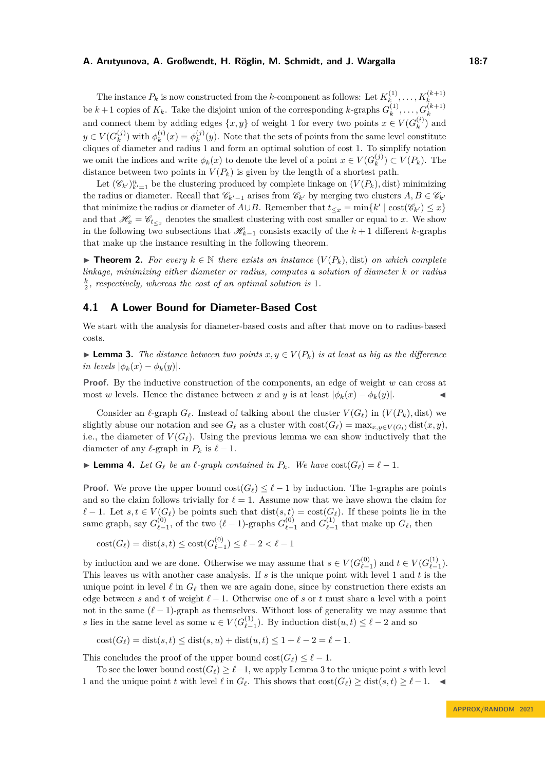The instance  $P_k$  is now constructed from the *k*-component as follows: Let  $K_k^{(1)}$  $K_k^{(1)}, \ldots, K_k^{(k+1)}$ be  $k+1$  copies of  $K_k$ . Take the disjoint union of the corresponding *k*-graphs  $G_k^{(1)}$  $G_k^{(1)}, \ldots, G_k^{(k+1)}$ and connect them by adding edges  $\{x, y\}$  of weight 1 for every two points  $x \in V(G_k^{(i)})$  $\binom{v}{k}$  and  $y \in V(G_k^{(j)})$  $\binom{(j)}{k}$  with  $\phi_k^{(i)}$  $\phi_k^{(i)}(x) = \phi_k^{(j)}$  $k^{(j)}(y)$ . Note that the sets of points from the same level constitute cliques of diameter and radius 1 and form an optimal solution of cost 1. To simplify notation we omit the indices and write  $\phi_k(x)$  to denote the level of a point  $x \in V(G_k^{(j)})$  $\binom{(J)}{k} \subset V(P_k)$ . The distance between two points in  $V(P_k)$  is given by the length of a shortest path.

Let  $(\mathscr{C}_{k'})_{k'=1}^n$  be the clustering produced by complete linkage on  $(V(P_k), \text{dist})$  minimizing the radius or diameter. Recall that  $\mathscr{C}_{k'-1}$  arises from  $\mathscr{C}_{k'}$  by merging two clusters  $A, B \in \mathscr{C}_{k'}$ that minimize the radius or diameter of  $A \cup B$ . Remember that  $t \leq x = \min\{k' \mid \text{cost}(\mathscr{C}_{k'}) \leq x\}$ and that  $\mathcal{H}_x = \mathcal{C}_{t \leq x}$  denotes the smallest clustering with cost smaller or equal to *x*. We show in the following two subsections that  $\mathcal{H}_{k-1}$  consists exactly of the  $k+1$  different *k*-graphs that make up the instance resulting in the following theorem.

<span id="page-6-2"></span>▶ **Theorem 2.** For every  $k \in \mathbb{N}$  there exists an instance  $(V(P_k), \text{dist})$  on which complete *linkage, minimizing either diameter or radius, computes a solution of diameter k or radius*  $\frac{k}{2}$ , respectively, whereas the cost of an optimal solution is 1.

# **4.1 A Lower Bound for Diameter-Based Cost**

We start with the analysis for diameter-based costs and after that move on to radius-based costs.

<span id="page-6-0"></span>▶ **Lemma 3.** *The distance between two points*  $x, y \in V(P_k)$  *is at least as big as the difference*  $\int$ *in levels*  $|\phi_k(x) - \phi_k(y)|$ .

**Proof.** By the inductive construction of the components, an edge of weight *w* can cross at most *w* levels. Hence the distance between *x* and *y* is at least  $|\phi_k(x) - \phi_k(y)|$ .

Consider an  $\ell$ -graph  $G_{\ell}$ . Instead of talking about the cluster  $V(G_{\ell})$  in  $(V(P_k),$  dist) we slightly abuse our notation and see  $G_{\ell}$  as a cluster with  $cost(G_{\ell}) = max_{x,y \in V(G_{\ell})} dist(x,y)$ , i.e., the diameter of  $V(G_\ell)$ . Using the previous lemma we can show inductively that the diameter of any  $\ell$ -graph in  $P_k$  is  $\ell - 1$ .

<span id="page-6-1"></span>▶ **Lemma 4.** Let  $G_{\ell}$  be an  $\ell$ -graph contained in  $P_k$ . We have  $cost(G_{\ell}) = \ell - 1$ .

**Proof.** We prove the upper bound  $\text{cost}(G_\ell) \leq \ell - 1$  by induction. The 1-graphs are points and so the claim follows trivially for  $\ell = 1$ . Assume now that we have shown the claim for *ℓ* − 1. Let *s*, *t* ∈ *V*( $G_{\ell}$ ) be points such that dist(*s*, *t*) = cost( $G_{\ell}$ ). If these points lie in the same graph, say  $G_{\ell}^{(0)}$  $\binom{0}{\ell-1}$ , of the two  $(\ell-1)$ -graphs  $G^{(0)}_{\ell-}$  $\binom{0}{\ell-1}$  and  $G_{\ell-}^{(1)}$  $\binom{1}{\ell-1}$  that make up  $G_{\ell}$ , then

$$
cost(G_{\ell}) = dist(s, t) \le cost(G_{\ell-1}^{(0)}) \le \ell - 2 < \ell - 1
$$

by induction and we are done. Otherwise we may assume that  $s \in V(G_{\ell-}^{(0)})$  $\binom{0}{\ell-1}$  and *t* ∈ *V*( $G_{\ell-}^{(1)}$  $\binom{1}{\ell-1}$ . This leaves us with another case analysis. If *s* is the unique point with level 1 and *t* is the unique point in level  $\ell$  in  $G_{\ell}$  then we are again done, since by construction there exists an edge between *s* and *t* of weight  $\ell-1$ . Otherwise one of *s* or *t* must share a level with a point not in the same  $(\ell-1)$ -graph as themselves. Without loss of generality we may assume that *s* lies in the same level as some  $u \in V(G_{\ell-}^{(1)})$  $\binom{1}{\ell-1}$ . By induction dist $(u, t) \leq \ell - 2$  and so

$$
cost(G_{\ell}) = dist(s, t) \leq dist(s, u) + dist(u, t) \leq 1 + \ell - 2 = \ell - 1.
$$

This concludes the proof of the upper bound  $cost(G_{\ell}) \leq \ell - 1$ .

To see the lower bound  $cost(G_{\ell}) \geq \ell-1$ , we apply Lemma [3](#page-6-0) to the unique point *s* with level 1 and the unique point *t* with level  $\ell$  in  $G_{\ell}$ . This shows that  $cost(G_{\ell}) \geq dist(s, t) \geq \ell - 1$ .  $\blacktriangleleft$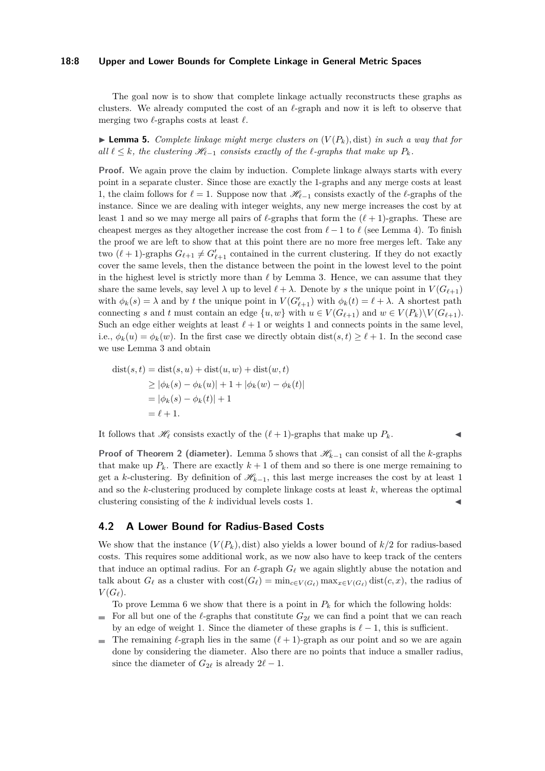#### **18:8 Upper and Lower Bounds for Complete Linkage in General Metric Spaces**

The goal now is to show that complete linkage actually reconstructs these graphs as clusters. We already computed the cost of an *ℓ*-graph and now it is left to observe that merging two *ℓ*-graphs costs at least *ℓ*.

<span id="page-7-0"></span> $\blacktriangleright$  **Lemma 5.** *Complete linkage might merge clusters on*  $(V(P_k),$  dist) *in such a way that for*  $all \ell \leq k$ , the clustering  $\mathcal{H}_{\ell-1}$  consists exactly of the  $\ell$ -graphs that make up  $P_k$ .

**Proof.** We again prove the claim by induction. Complete linkage always starts with every point in a separate cluster. Since those are exactly the 1-graphs and any merge costs at least 1, the claim follows for  $\ell = 1$ . Suppose now that  $\mathcal{H}_{\ell-1}$  consists exactly of the  $\ell$ -graphs of the instance. Since we are dealing with integer weights, any new merge increases the cost by at least 1 and so we may merge all pairs of  $\ell$ -graphs that form the  $(\ell + 1)$ -graphs. These are cheapest merges as they altogether increase the cost from  $\ell - 1$  to  $\ell$  (see Lemma [4\)](#page-6-1). To finish the proof we are left to show that at this point there are no more free merges left. Take any two  $(\ell + 1)$ -graphs  $G_{\ell+1} \neq G'_{\ell+1}$  contained in the current clustering. If they do not exactly cover the same levels, then the distance between the point in the lowest level to the point in the highest level is strictly more than *ℓ* by Lemma [3.](#page-6-0) Hence, we can assume that they share the same levels, say level  $\lambda$  up to level  $\ell + \lambda$ . Denote by *s* the unique point in  $V(G_{\ell+1})$ with  $\phi_k(s) = \lambda$  and by *t* the unique point in  $V(G'_{\ell+1})$  with  $\phi_k(t) = \ell + \lambda$ . A shortest path connecting *s* and *t* must contain an edge  $\{u, w\}$  with  $u \in V(G_{\ell+1})$  and  $w \in V(P_k) \setminus V(G_{\ell+1})$ . Such an edge either weights at least  $\ell + 1$  or weights 1 and connects points in the same level, i.e.,  $\phi_k(u) = \phi_k(w)$ . In the first case we directly obtain  $dist(s,t) \geq \ell + 1$ . In the second case we use Lemma [3](#page-6-0) and obtain

$$
dist(s,t) = dist(s, u) + dist(u, w) + dist(w, t)
$$
  
\n
$$
\geq |\phi_k(s) - \phi_k(u)| + 1 + |\phi_k(w) - \phi_k(t)|
$$
  
\n
$$
= |\phi_k(s) - \phi_k(t)| + 1
$$
  
\n
$$
= \ell + 1.
$$

It follows that  $\mathcal{H}_{\ell}$  consists exactly of the  $(\ell + 1)$ -graphs that make up  $P_k$ .

**Proof of Theorem [2](#page-6-2)** (diameter). Lemma [5](#page-7-0) shows that  $\mathcal{H}_{k-1}$  can consist of all the *k*-graphs that make up  $P_k$ . There are exactly  $k+1$  of them and so there is one merge remaining to get a *k*-clustering. By definition of  $\mathcal{H}_{k-1}$ , this last merge increases the cost by at least 1 and so the *k*-clustering produced by complete linkage costs at least *k*, whereas the optimal clustering consisting of the  $k$  individual levels costs 1.

#### **4.2 A Lower Bound for Radius-Based Costs**

We show that the instance  $(V(P_k),$  dist) also yields a lower bound of  $k/2$  for radius-based costs. This requires some additional work, as we now also have to keep track of the centers that induce an optimal radius. For an  $\ell$ -graph  $G_{\ell}$  we again slightly abuse the notation and talk about  $G_{\ell}$  as a cluster with  $\cos(f) = \min_{c \in V(G_{\ell})} \max_{x \in V(G_{\ell})} \text{dist}(c, x)$ , the radius of  $V(G_{\ell}).$ 

To prove Lemma [6](#page-7-1) we show that there is a point in  $P_k$  for which the following holds:

For all but one of the  $\ell$ -graphs that constitute  $G_{2\ell}$  we can find a point that we can reach  $\sim$ by an edge of weight 1. Since the diameter of these graphs is  $\ell - 1$ , this is sufficient.

<span id="page-7-1"></span>The remaining  $\ell$ -graph lies in the same  $(\ell + 1)$ -graph as our point and so we are again m. done by considering the diameter. Also there are no points that induce a smaller radius, since the diameter of  $G_{2\ell}$  is already  $2\ell - 1$ .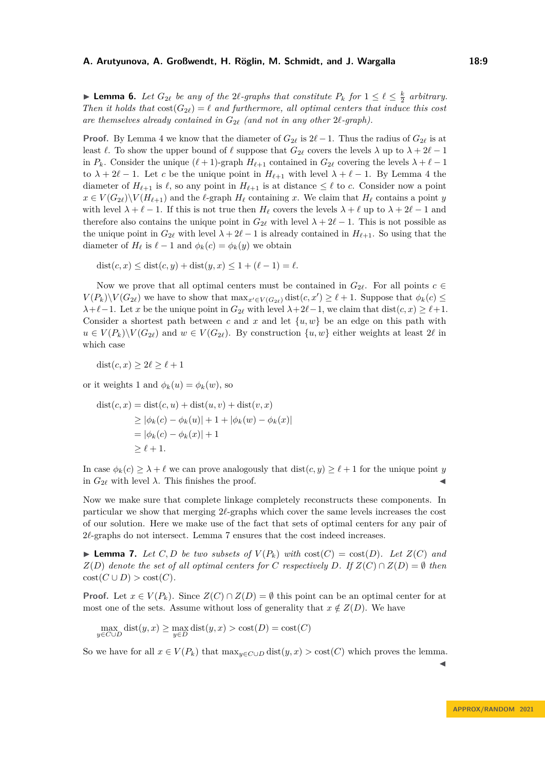**Example 6.** Let  $G_{2\ell}$  be any of the  $2\ell$ -graphs that constitute  $P_k$  for  $1 \leq \ell \leq \frac{k}{2}$  arbitrary. *Then it holds that*  $\text{cost}(G_{2\ell}) = \ell$  *and furthermore, all optimal centers that induce this cost are themselves already contained in G*2*<sup>ℓ</sup> (and not in any other* 2*ℓ-graph).*

**Proof.** By Lemma [4](#page-6-1) we know that the diameter of  $G_{2\ell}$  is  $2\ell-1$ . Thus the radius of  $G_{2\ell}$  is at least  $\ell$ . To show the upper bound of  $\ell$  suppose that  $G_{2\ell}$  covers the levels  $\lambda$  up to  $\lambda + 2\ell - 1$ in *P<sub>k</sub>*. Consider the unique  $(\ell + 1)$ -graph  $H_{\ell+1}$  contained in  $G_{2\ell}$  covering the levels  $\lambda + \ell - 1$ to  $\lambda + 2\ell - 1$ . Let *c* be the unique point in  $H_{\ell+1}$  with level  $\lambda + \ell - 1$ . By Lemma [4](#page-6-1) the diameter of  $H_{\ell+1}$  is  $\ell$ , so any point in  $H_{\ell+1}$  is at distance  $\leq \ell$  to *c*. Consider now a point  $x \in V(G_{2\ell})\backslash V(H_{\ell+1})$  and the  $\ell$ -graph  $H_{\ell}$  containing *x*. We claim that  $H_{\ell}$  contains a point *y* with level  $\lambda + \ell - 1$ . If this is not true then  $H_{\ell}$  covers the levels  $\lambda + \ell$  up to  $\lambda + 2\ell - 1$  and therefore also contains the unique point in  $G_{2\ell}$  with level  $\lambda + 2\ell - 1$ . This is not possible as the unique point in  $G_{2\ell}$  with level  $\lambda + 2\ell - 1$  is already contained in  $H_{\ell+1}$ . So using that the diameter of  $H_\ell$  is  $\ell - 1$  and  $\phi_k(c) = \phi_k(y)$  we obtain

 $dist(c, x) \leq dist(c, y) + dist(y, x) \leq 1 + (\ell - 1) = \ell.$ 

Now we prove that all optimal centers must be contained in  $G_{2\ell}$ . For all points  $c \in$  $V(P_k)\setminus V(G_{2\ell})$  we have to show that  $\max_{x'\in V(G_{2\ell})} \text{dist}(c, x') \geq \ell + 1$ . Suppose that  $\phi_k(c) \leq$  $\lambda + \ell - 1$ . Let *x* be the unique point in  $G_{2\ell}$  with level  $\lambda + 2\ell - 1$ , we claim that dist(*c*, *x*)  $\geq \ell + 1$ . Consider a shortest path between c and x and let  $\{u, w\}$  be an edge on this path with  $u \in V(P_k) \setminus V(G_{2\ell})$  and  $w \in V(G_{2\ell})$ . By construction  $\{u, w\}$  either weights at least 2 $\ell$  in which case

dist $(c, x) \geq 2\ell \geq \ell + 1$ 

or it weights 1 and  $\phi_k(u) = \phi_k(w)$ , so

$$
dist(c, x) = dist(c, u) + dist(u, v) + dist(v, x)
$$
  
\n
$$
\geq |\phi_k(c) - \phi_k(u)| + 1 + |\phi_k(w) - \phi_k(x)|
$$
  
\n
$$
= |\phi_k(c) - \phi_k(x)| + 1
$$
  
\n
$$
\geq \ell + 1.
$$

In case  $\phi_k(c) \geq \lambda + \ell$  we can prove analogously that  $dist(c, y) \geq \ell + 1$  for the unique point *y* in  $G_{2\ell}$  with level  $\lambda$ . This finishes the proof.

Now we make sure that complete linkage completely reconstructs these components. In particular we show that merging 2*ℓ*-graphs which cover the same levels increases the cost of our solution. Here we make use of the fact that sets of optimal centers for any pair of 2*l*-graphs do not intersect. Lemma [7](#page-8-0) ensures that the cost indeed increases.

<span id="page-8-0"></span> $\blacktriangleright$  **Lemma 7.** Let  $C, D$  be two subsets of  $V(P_k)$  with  $cost(C) = cost(D)$ . Let  $Z(C)$  and  $Z(D)$  *denote the set of all optimal centers for C respectively D.* If  $Z(C) \cap Z(D) = \emptyset$  *then*  $cost(C \cup D) > cost(C)$ .

**Proof.** Let  $x \in V(P_k)$ . Since  $Z(C) \cap Z(D) = \emptyset$  this point can be an optimal center for at most one of the sets. Assume without loss of generality that  $x \notin Z(D)$ . We have

$$
\max_{y \in C \cup D} \text{dist}(y, x) \ge \max_{y \in D} \text{dist}(y, x) > \text{cost}(D) = \text{cost}(C)
$$

So we have for all  $x \in V(P_k)$  that  $\max_{y \in C \cup D} \text{dist}(y, x) > \text{cost}(C)$  which proves the lemma.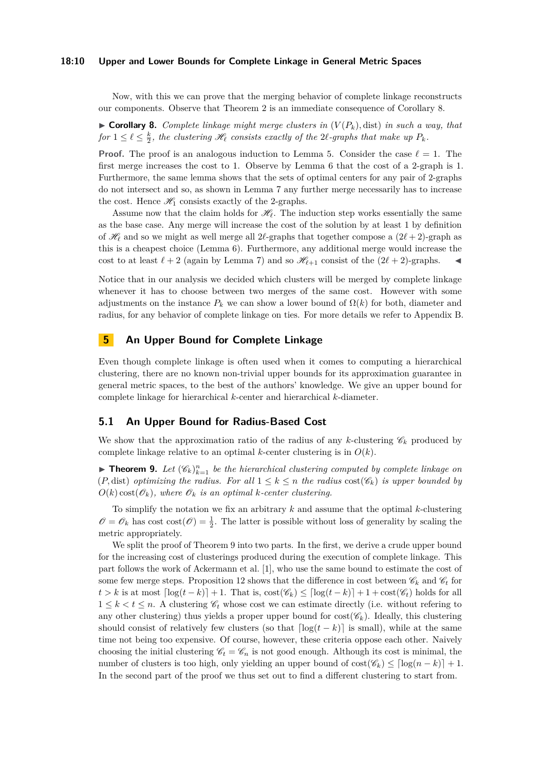#### **18:10 Upper and Lower Bounds for Complete Linkage in General Metric Spaces**

Now, with this we can prove that the merging behavior of complete linkage reconstructs our components. Observe that Theorem [2](#page-6-2) is an immediate consequence of Corollary [8.](#page-9-0)

<span id="page-9-0"></span> $\triangleright$  **Corollary 8.** *Complete linkage might merge clusters in*  $(V(P_k), dist)$  *in such a way, that for*  $1 \leq \ell \leq \frac{k}{2}$ , the clustering  $\mathcal{H}_{\ell}$  consists exactly of the 2 $\ell$ -graphs that make up  $P_k$ .

**Proof.** The proof is an analogous induction to Lemma [5.](#page-7-0) Consider the case  $\ell = 1$ . The first merge increases the cost to 1. Observe by Lemma [6](#page-7-1) that the cost of a 2-graph is 1. Furthermore, the same lemma shows that the sets of optimal centers for any pair of 2-graphs do not intersect and so, as shown in Lemma [7](#page-8-0) any further merge necessarily has to increase the cost. Hence  $\mathcal{H}_1$  consists exactly of the 2-graphs.

Assume now that the claim holds for  $\mathcal{H}_{\ell}$ . The induction step works essentially the same as the base case. Any merge will increase the cost of the solution by at least 1 by definition of  $\mathcal{H}_{\ell}$  and so we might as well merge all 2*ℓ*-graphs that together compose a  $(2\ell+2)$ -graph as this is a cheapest choice (Lemma [6\)](#page-7-1). Furthermore, any additional merge would increase the cost to at least  $\ell + 2$  (again by Lemma [7\)](#page-8-0) and so  $\mathcal{H}_{\ell+1}$  consist of the  $(2\ell + 2)$ -graphs.

Notice that in our analysis we decided which clusters will be merged by complete linkage whenever it has to choose between two merges of the same cost. However with some adjustments on the instance  $P_k$  we can show a lower bound of  $\Omega(k)$  for both, diameter and radius, for any behavior of complete linkage on ties. For more details we refer to Appendix [B.](#page-18-0)

# **5 An Upper Bound for Complete Linkage**

Even though complete linkage is often used when it comes to computing a hierarchical clustering, there are no known non-trivial upper bounds for its approximation guarantee in general metric spaces, to the best of the authors' knowledge. We give an upper bound for complete linkage for hierarchical *k*-center and hierarchical *k*-diameter.

# **5.1 An Upper Bound for Radius-Based Cost**

We show that the approximation ratio of the radius of any *k*-clustering  $\mathscr{C}_k$  produced by complete linkage relative to an optimal *k*-center clustering is in *O*(*k*).

<span id="page-9-1"></span>**Find 19.** Let  $(\mathscr{C}_k)_{k=1}^n$  be the hierarchical clustering computed by complete linkage on (*P*, dist) *optimizing the radius. For all*  $1 \leq k \leq n$  *the radius*  $cost(\mathscr{C}_k)$  *is upper bounded by*  $O(k) \cos(\mathcal{O}_k)$ , where  $\mathcal{O}_k$  *is an optimal k-center clustering.* 

To simplify the notation we fix an arbitrary *k* and assume that the optimal *k*-clustering  $\mathscr{O} = \mathscr{O}_k$  has cost  $\cos(\mathscr{O}) = \frac{1}{2}$ . The latter is possible without loss of generality by scaling the metric appropriately.

We split the proof of Theorem [9](#page-9-1) into two parts. In the first, we derive a crude upper bound for the increasing cost of clusterings produced during the execution of complete linkage. This part follows the work of Ackermann et al. [\[1\]](#page-16-13), who use the same bound to estimate the cost of some few merge steps. Proposition [12](#page-10-0) shows that the difference in cost between  $\mathscr{C}_k$  and  $\mathscr{C}_t$  for  $t > k$  is at most  $\lceil \log(t - k) \rceil + 1$ . That is,  $\cos(t \mathscr{C}_k) \leq \lceil \log(t - k) \rceil + 1 + \cos(t \mathscr{C}_t)$  holds for all  $1 \leq k < t \leq n$ . A clustering  $\mathscr{C}_t$  whose cost we can estimate directly (i.e. without refering to any other clustering) thus yields a proper upper bound for  $\cos(\mathscr{C}_k)$ . Ideally, this clustering should consist of relatively few clusters (so that  $\lceil \log(t - k) \rceil$  is small), while at the same time not being too expensive. Of course, however, these criteria oppose each other. Naively choosing the initial clustering  $\mathscr{C}_t = \mathscr{C}_n$  is not good enough. Although its cost is minimal, the number of clusters is too high, only yielding an upper bound of  $\cos(\mathscr{C}_k) \leq \lceil \log(n-k) \rceil + 1$ . In the second part of the proof we thus set out to find a different clustering to start from.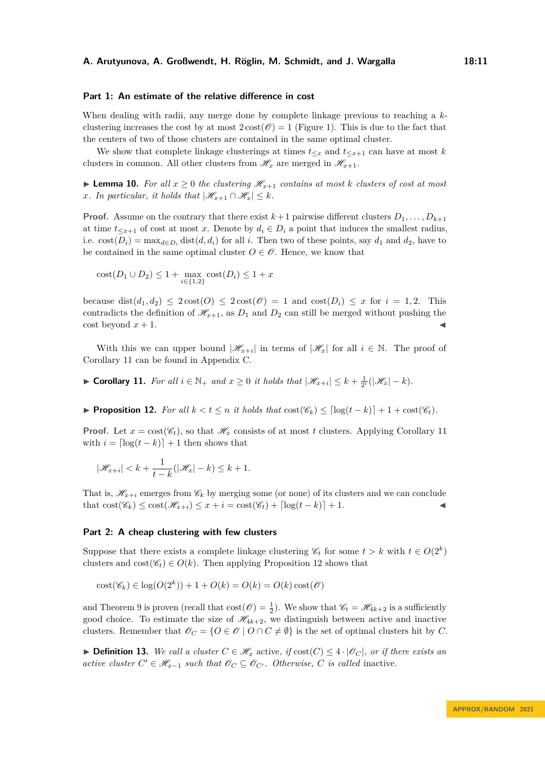#### **Part 1: An estimate of the relative difference in cost**

When dealing with radii, any merge done by complete linkage previous to reaching a *k*clustering increases the cost by at most  $2 \cot(\mathcal{O}) = 1$  (Figure [1\)](#page-3-0). This is due to the fact that the centers of two of those clusters are contained in the same optimal cluster.

We show that complete linkage clusterings at times  $t_{\leq x}$  and  $t_{\leq x+1}$  can have at most *k* clusters in common. All other clusters from  $\mathcal{H}_x$  are merged in  $\mathcal{H}_{x+1}$ .

<span id="page-10-2"></span>▶ **Lemma 10.** For all  $x ≥ 0$  the clustering  $\mathcal{H}_{x+1}$  contains at most *k* clusters of cost at most *x.* In particular, it holds that  $|\mathcal{H}_{x+1} \cap \mathcal{H}_x| \leq k$ *.* 

**Proof.** Assume on the contrary that there exist  $k+1$  pairwise different clusters  $D_1, \ldots, D_{k+1}$ at time  $t \leq x+1$  of cost at most *x*. Denote by  $d_i \in D_i$  a point that induces the smallest radius, i.e.  $\text{cost}(D_i) = \max_{d \in D_i} \text{dist}(d, d_i)$  for all *i*. Then two of these points, say  $d_1$  and  $d_2$ , have to be contained in the same optimal cluster  $O \in \mathscr{O}$ . Hence, we know that

$$
cost(D_1 \cup D_2) \le 1 + \max_{i \in \{1,2\}} cost(D_i) \le 1 + x
$$

because  $dist(d_1, d_2) \leq 2\cos(t) \leq 2\cos(t) = 1$  and  $\cos(t) = x$  for  $i = 1, 2$ . This contradicts the definition of  $\mathcal{H}_{x+1}$ , as  $D_1$  and  $D_2$  can still be merged without pushing the  $\cosh$  beyond  $x + 1$ .

With this we can upper bound  $|\mathcal{H}_{x+i}|$  in terms of  $|\mathcal{H}_x|$  for all  $i \in \mathbb{N}$ . The proof of Corollary [11](#page-10-1) can be found in Appendix [C.](#page-21-0)

<span id="page-10-1"></span>▶ **Corollary 11.** *For all*  $i \in \mathbb{N}_+$  *and*  $x \geq 0$  *it holds that*  $|\mathcal{H}_{x+i}| \leq k + \frac{1}{2^i}(|\mathcal{H}_x| - k)$ *.* 

<span id="page-10-0"></span>▶ **Proposition 12.** *For all*  $k < t \leq n$  *it holds that*  $cost(\mathscr{C}_k) \leq \lceil log(t - k) \rceil + 1 + cost(\mathscr{C}_t)$ *.* 

**Proof.** Let  $x = \text{cost}(\mathscr{C}_t)$ , so that  $\mathscr{H}_x$  consists of at most *t* clusters. Applying Corollary [11](#page-10-1) with  $i = \lfloor \log(t - k) \rfloor + 1$  then shows that

$$
|\mathcal{H}_{x+i}| < k + \frac{1}{t-k}(|\mathcal{H}_x| - k) \leq k + 1.
$$

That is,  $\mathcal{H}_{x+i}$  emerges from  $\mathcal{C}_k$  by merging some (or none) of its clusters and we can conclude that  $\text{cost}(\mathscr{C}_k) \leq \text{cost}(\mathscr{H}_{x+i}) \leq x + i = \text{cost}(\mathscr{C}_t) + \lfloor \log(t - k) \rfloor + 1.$ 

#### **Part 2: A cheap clustering with few clusters**

Suppose that there exists a complete linkage clustering  $\mathscr{C}_t$  for some  $t > k$  with  $t \in O(2^k)$ clusters and  $\text{cost}(\mathscr{C}_t) \in O(k)$ . Then applying Proposition [12](#page-10-0) shows that

$$
\mathrm{cost}(\mathscr{C}_k) \in \log(O(2^k)) + 1 + O(k) = O(k) = O(k) \, \mathrm{cost}(\mathscr{O})
$$

and Theorem [9](#page-9-1) is proven (recall that  $\cos(\mathcal{O}) = \frac{1}{2}$ ). We show that  $\mathcal{C}_t = \mathcal{H}_{4k+2}$  is a sufficiently good choice. To estimate the size of  $\mathcal{H}_{4k+2}$ , we distinguish between active and inactive clusters. Remember that  $\mathscr{O}_C = \{O \in \mathscr{O} \mid O \cap C \neq \emptyset\}$  is the set of optimal clusters hit by *C*.

▶ **Definition 13.** We call a cluster  $C \in \mathcal{H}_x$  active, if  $\text{cost}(C) \leq 4 \cdot |\mathcal{O}_C|$ , or if there exists an *active cluster*  $C' \in \mathcal{H}_{x-1}$  *such that*  $\mathcal{O}_C \subseteq \mathcal{O}_{C'}$ *. Otherwise, C is called* inactive.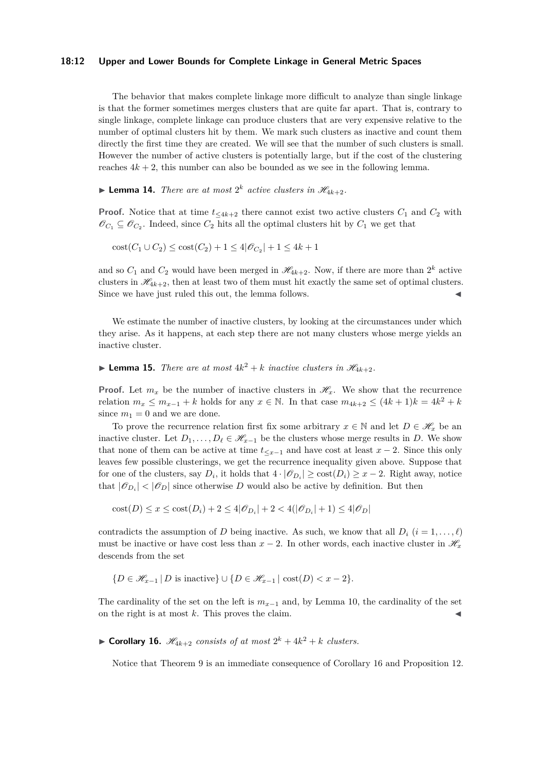#### **18:12 Upper and Lower Bounds for Complete Linkage in General Metric Spaces**

The behavior that makes complete linkage more difficult to analyze than single linkage is that the former sometimes merges clusters that are quite far apart. That is, contrary to single linkage, complete linkage can produce clusters that are very expensive relative to the number of optimal clusters hit by them. We mark such clusters as inactive and count them directly the first time they are created. We will see that the number of such clusters is small. However the number of active clusters is potentially large, but if the cost of the clustering reaches  $4k + 2$ , this number can also be bounded as we see in the following lemma.

# **• Lemma 14.** *There are at most*  $2^k$  *active clusters in*  $\mathcal{H}_{4k+2}$ *.*

**Proof.** Notice that at time  $t_{\leq 4k+2}$  there cannot exist two active clusters  $C_1$  and  $C_2$  with  $\mathscr{O}_{C_1} \subseteq \mathscr{O}_{C_2}$ . Indeed, since  $C_2$  hits all the optimal clusters hit by  $C_1$  we get that

 $\text{cost}(C_1 \cup C_2) \leq \text{cost}(C_2) + 1 \leq 4|\mathscr{O}_{C_2}| + 1 \leq 4k + 1$ 

and so  $C_1$  and  $C_2$  would have been merged in  $\mathscr{H}_{4k+2}$ . Now, if there are more than  $2^k$  active clusters in  $\mathcal{H}_{4k+2}$ , then at least two of them must hit exactly the same set of optimal clusters. Since we have just ruled this out, the lemma follows.

We estimate the number of inactive clusters, by looking at the circumstances under which they arise. As it happens, at each step there are not many clusters whose merge yields an inactive cluster.

**• Lemma 15.** *There are at most*  $4k^2 + k$  *inactive clusters in*  $\mathcal{H}_{4k+2}$ *.* 

**Proof.** Let  $m_x$  be the number of inactive clusters in  $\mathcal{H}_x$ . We show that the recurrence relation  $m_x \leq m_{x-1} + k$  holds for any  $x \in \mathbb{N}$ . In that case  $m_{4k+2} \leq (4k+1)k = 4k^2 + k$ since  $m_1 = 0$  and we are done.

To prove the recurrence relation first fix some arbitrary  $x \in \mathbb{N}$  and let  $D \in \mathcal{H}_x$  be an inactive cluster. Let  $D_1, \ldots, D_\ell \in \mathcal{H}_{x-1}$  be the clusters whose merge results in *D*. We show that none of them can be active at time  $t \lt x-1$  and have cost at least  $x-2$ . Since this only leaves few possible clusterings, we get the recurrence inequality given above. Suppose that for one of the clusters, say  $D_i$ , it holds that  $4 \cdot |\mathcal{O}_{D_i}| \geq \text{cost}(D_i) \geq x - 2$ . Right away, notice that  $|\mathcal{O}_{D_i}| < |\mathcal{O}_D|$  since otherwise *D* would also be active by definition. But then

 $\text{cost}(D) \leq x \leq \text{cost}(D_i) + 2 \leq 4|\mathcal{O}_{D_i}| + 2 < 4(|\mathcal{O}_{D_i}| + 1) \leq 4|\mathcal{O}_{D}|$ 

contradicts the assumption of *D* being inactive. As such, we know that all  $D_i$  ( $i = 1, \ldots, \ell$ ) must be inactive or have cost less than  $x - 2$ . In other words, each inactive cluster in  $\mathcal{H}_x$ descends from the set

$$
\{D \in \mathcal{H}_{x-1} \mid D \text{ is inactive}\} \cup \{D \in \mathcal{H}_{x-1} \mid \text{cost}(D) < x - 2\}.
$$

The cardinality of the set on the left is  $m_{x-1}$  and, by Lemma [10,](#page-10-2) the cardinality of the set on the right is at most  $k$ . This proves the claim.

<span id="page-11-0"></span>**• Corollary 16.**  $\mathscr{H}_{4k+2}$  consists of at most  $2^k + 4k^2 + k$  clusters.

Notice that Theorem [9](#page-9-1) is an immediate consequence of Corollary [16](#page-11-0) and Proposition [12.](#page-10-0)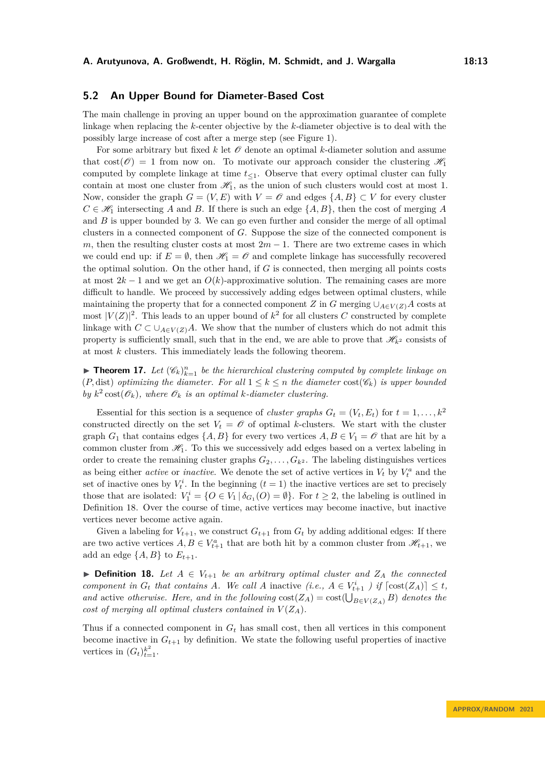# **5.2 An Upper Bound for Diameter-Based Cost**

The main challenge in proving an upper bound on the approximation guarantee of complete linkage when replacing the *k*-center objective by the *k*-diameter objective is to deal with the possibly large increase of cost after a merge step (see Figure [1\)](#page-3-0).

For some arbitrary but fixed  $k$  let  $\mathcal O$  denote an optimal  $k$ -diameter solution and assume that  $\cos(\mathcal{O}) = 1$  from now on. To motivate our approach consider the clustering  $\mathcal{H}_1$ computed by complete linkage at time  $t_{\leq 1}$ . Observe that every optimal cluster can fully contain at most one cluster from  $\mathcal{H}_1$ , as the union of such clusters would cost at most 1. Now, consider the graph  $G = (V, E)$  with  $V = \mathcal{O}$  and edges  $\{A, B\} \subset V$  for every cluster  $C \in \mathcal{H}_1$  intersecting *A* and *B*. If there is such an edge  $\{A, B\}$ , then the cost of merging *A* and *B* is upper bounded by 3. We can go even further and consider the merge of all optimal clusters in a connected component of *G*. Suppose the size of the connected component is *m*, then the resulting cluster costs at most  $2m - 1$ . There are two extreme cases in which we could end up: if  $E = \emptyset$ , then  $\mathcal{H}_1 = \mathcal{O}$  and complete linkage has successfully recovered the optimal solution. On the other hand, if *G* is connected, then merging all points costs at most  $2k - 1$  and we get an  $O(k)$ -approximative solution. The remaining cases are more difficult to handle. We proceed by successively adding edges between optimal clusters, while maintaining the property that for a connected component *Z* in *G* merging  $\cup_{A\in V(Z)} A$  costs at most  $|V(Z)|^2$ . This leads to an upper bound of  $k^2$  for all clusters *C* constructed by complete linkage with  $C \subset \bigcup_{A \in V(Z)} A$ . We show that the number of clusters which do not admit this property is sufficiently small, such that in the end, we are able to prove that  $\mathscr{H}_{k^2}$  consists of at most *k* clusters. This immediately leads the following theorem.

<span id="page-12-2"></span>**Find 17.** Let  $(\mathscr{C}_k)_{k=1}^n$  be the hierarchical clustering computed by complete linkage on (*P*, dist) *optimizing the diameter. For all*  $1 \leq k \leq n$  *the diameter*  $cost(\mathscr{C}_k)$  *is upper bounded* by  $k^2 \text{cost}(\mathscr{O}_k)$ , where  $\mathscr{O}_k$  *is an optimal k-diameter clustering.* 

Essential for this section is a sequence of *cluster graphs*  $G_t = (V_t, E_t)$  for  $t = 1, \ldots, k^2$ constructed directly on the set  $V_t = \mathcal{O}$  of optimal *k*-clusters. We start with the cluster graph  $G_1$  that contains edges  $\{A, B\}$  for every two vertices  $A, B \in V_1 = \mathcal{O}$  that are hit by a common cluster from  $\mathcal{H}_1$ . To this we successively add edges based on a vertex labeling in order to create the remaining cluster graphs  $G_2, \ldots, G_k$ . The labeling distinguishes vertices as being either *active* or *inactive*. We denote the set of active vertices in  $V_t$  by  $V_t^a$  and the set of inactive ones by  $V_t^i$ . In the beginning  $(t = 1)$  the inactive vertices are set to precisely those that are isolated:  $V_1^i = \{O \in V_1 | \delta_{G_1}(O) = \emptyset\}$ . For  $t \geq 2$ , the labeling is outlined in Definition [18.](#page-12-0) Over the course of time, active vertices may become inactive, but inactive vertices never become active again.

Given a labeling for  $V_{t+1}$ , we construct  $G_{t+1}$  from  $G_t$  by adding additional edges: If there are two active vertices  $A, B \in V_{t+1}^a$  that are both hit by a common cluster from  $\mathscr{H}_{t+1}$ , we add an edge  $\{A, B\}$  to  $E_{t+1}$ .

<span id="page-12-0"></span>▶ **Definition 18.** Let  $A \in V_{t+1}$  be an arbitrary optimal cluster and  $Z_A$  the connected *component in*  $G_t$  *that contains A.* We call *A* inactive (*i.e.,*  $A \in V_{t+1}^i$  ) if  $\lceil \text{cost}(Z_A) \rceil \le t$ , *and* active *otherwise. Here, and in the following*  $cost(Z_A) = cost(\bigcup_{B \in V(Z_A)} B)$  *denotes the cost of merging all optimal clusters contained in*  $V(Z_A)$ *.* 

<span id="page-12-1"></span>Thus if a connected component in  $G_t$  has small cost, then all vertices in this component become inactive in  $G_{t+1}$  by definition. We state the following useful properties of inactive vertices in  $(G_t)_{t=1}^{k^2}$ .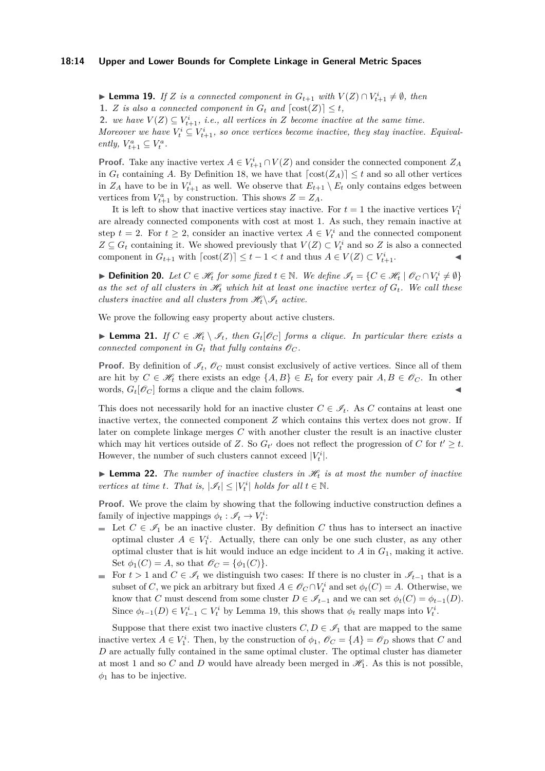#### **18:14 Upper and Lower Bounds for Complete Linkage in General Metric Spaces**

▶ **Lemma 19.** *If Z is a connected component in*  $G_{t+1}$  *with*  $V(Z) \cap V_{t+1}^i \neq \emptyset$ *, then* **1.** *Z is also a connected component in*  $G_t$  *and*  $[\text{cost}(Z)] \leq t$ *,* **2.** *we have*  $V(Z) \subseteq V_{t+1}^i$ , *i.e.*, *all vertices in Z become inactive at the same time.* 

*Moreover we have*  $V_t^i \subseteq V_{t+1}^i$ , so once vertices become inactive, they stay inactive. Equival $ently, V_{t+1}^a \subseteq V_t^a$ .

**Proof.** Take any inactive vertex  $A \in V_{t+1}^i \cap V(Z)$  and consider the connected component  $Z_A$ in  $G_t$  containing *A*. By Definition [18,](#page-12-0) we have that  $\left[ \text{cost}(Z_A) \right] \leq t$  and so all other vertices in  $Z_A$  have to be in  $V_{t+1}^i$  as well. We observe that  $E_{t+1} \setminus E_t$  only contains edges between vertices from  $V_{t+1}^a$  by construction. This shows  $Z = Z_A$ .

It is left to show that inactive vertices stay inactive. For  $t = 1$  the inactive vertices  $V_1^i$ are already connected components with cost at most 1. As such, they remain inactive at step  $t = 2$ . For  $t \geq 2$ , consider an inactive vertex  $A \in V_t^i$  and the connected component  $Z \subseteq G_t$  containing it. We showed previously that  $V(Z) \subset V_t^i$  and so *Z* is also a connected component in  $G_{t+1}$  with  $\lceil \text{cost}(Z) \rceil \le t - 1 < t$  and thus  $A \in V(Z) \subset V_{t+1}^i$ .

▶ **Definition 20.** Let  $C \in \mathcal{H}$  for some fixed  $t \in \mathbb{N}$ . We define  $\mathcal{I}_t = \{C \in \mathcal{H}_t \mid \mathcal{O}_C \cap V_t^i \neq \emptyset\}$ as the set of all clusters in  $\mathcal{H}_t$  which hit at least one inactive vertex of  $G_t$ . We call these *clusters inactive and all clusters from*  $\mathcal{H}_t \backslash \mathcal{I}_t$  *active.* 

We prove the following easy property about active clusters.

<span id="page-13-0"></span>▶ **Lemma 21.** *If*  $C \in \mathcal{H}_t \setminus \mathcal{I}_t$ , then  $G_t[\mathcal{O}_C]$  forms a clique. In particular there exists a *connected component in*  $G_t$  *that fully contains*  $\mathscr{O}_C$ *.* 

**Proof.** By definition of  $\mathcal{I}_t$ ,  $\mathcal{O}_C$  must consist exclusively of active vertices. Since all of them are hit by  $C \in \mathcal{H}_t$  there exists an edge  $\{A, B\} \in E_t$  for every pair  $A, B \in \mathcal{O}_C$ . In other words,  $G_t[\mathscr{O}_C]$  forms a clique and the claim follows.

This does not necessarily hold for an inactive cluster  $C \in \mathscr{I}_t$ . As *C* contains at least one inactive vertex, the connected component *Z* which contains this vertex does not grow. If later on complete linkage merges *C* with another cluster the result is an inactive cluster which may hit vertices outside of *Z*. So  $G_t$  does not reflect the progression of *C* for  $t' \geq t$ . However, the number of such clusters cannot exceed  $|V_t^i|$ .

<span id="page-13-1"></span> $\triangleright$  **Lemma 22.** The number of inactive clusters in  $\mathcal{H}_t$  is at most the number of inactive *vertices at time t. That is,*  $|\mathcal{I}_t| \leq |V_t^i|$  *holds for all*  $t \in \mathbb{N}$ .

**Proof.** We prove the claim by showing that the following inductive construction defines a family of injective mappings  $\phi_t : \mathscr{I}_t \to V_t^i$ :

- Let  $C \in \mathscr{I}_1$  be an inactive cluster. By definition  $C$  thus has to intersect an inactive optimal cluster  $A \in V_1^i$ . Actually, there can only be one such cluster, as any other optimal cluster that is hit would induce an edge incident to *A* in *G*1, making it active. Set  $\phi_1(C) = A$ , so that  $\mathcal{O}_C = {\phi_1(C)}$ .
- **For**  $t > 1$  and  $C \in \mathcal{I}_t$  we distinguish two cases: If there is no cluster in  $\mathcal{I}_{t-1}$  that is a subset of *C*, we pick an arbitrary but fixed  $A \in \mathscr{O}_C \cap V_t^i$  and set  $\phi_t(C) = A$ . Otherwise, we know that *C* must descend from some cluster  $D \in \mathscr{I}_{t-1}$  and we can set  $\phi_t(C) = \phi_{t-1}(D)$ . Since  $\phi_{t-1}(D) \in V_{t-1}^i \subset V_t^i$  by Lemma [19,](#page-12-1) this shows that  $\phi_t$  really maps into  $V_t^i$ .

Suppose that there exist two inactive clusters  $C, D \in \mathscr{I}_1$  that are mapped to the same inactive vertex  $A \in V_1^i$ . Then, by the construction of  $\phi_1$ ,  $\mathscr{O}_C = \{A\} = \mathscr{O}_D$  shows that *C* and *D* are actually fully contained in the same optimal cluster. The optimal cluster has diameter at most 1 and so C and D would have already been merged in  $\mathcal{H}_1$ . As this is not possible,  $\phi_1$  has to be injective.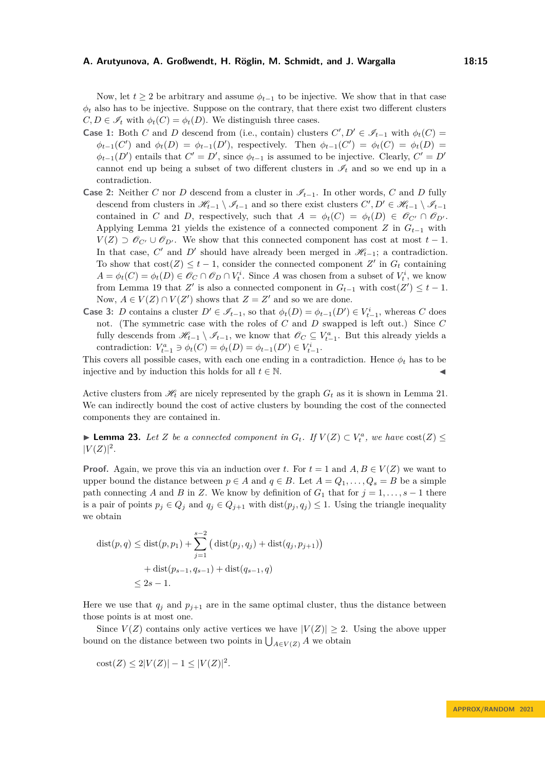Now, let  $t \geq 2$  be arbitrary and assume  $\phi_{t-1}$  to be injective. We show that in that case  $\phi_t$  also has to be injective. Suppose on the contrary, that there exist two different clusters  $C, D \in \mathscr{I}_t$  with  $\phi_t(C) = \phi_t(D)$ . We distinguish three cases.

- **Case 1:** Both *C* and *D* descend from (i.e., contain) clusters  $C', D' \in \mathscr{I}_{t-1}$  with  $\phi_t(C)$  $\phi_{t-1}(C')$  and  $\phi_t(D) = \phi_{t-1}(D')$ , respectively. Then  $\phi_{t-1}(C') = \phi_t(C) = \phi_t(D)$  $\phi_{t-1}(D')$  entails that  $C' = D'$ , since  $\phi_{t-1}$  is assumed to be injective. Clearly,  $C' = D'$ cannot end up being a subset of two different clusters in  $\mathscr{I}_t$  and so we end up in a contradiction.
- **Case 2:** Neither *C* nor *D* descend from a cluster in  $\mathscr{I}_{t-1}$ . In other words, *C* and *D* fully descend from clusters in  $\mathscr{H}_{t-1} \setminus \mathscr{I}_{t-1}$  and so there exist clusters  $C', D' \in \mathscr{H}_{t-1} \setminus \mathscr{I}_{t-1}$ contained in *C* and *D*, respectively, such that  $A = \phi_t(C) = \phi_t(D) \in \mathcal{O}_{C'} \cap \mathcal{O}_{D'}$ . Applying Lemma [21](#page-13-0) yields the existence of a connected component *Z* in *Gt*−<sup>1</sup> with  $V(Z) \supset \mathscr{O}_{C'} \cup \mathscr{O}_{D'}$ . We show that this connected component has cost at most  $t-1$ . In that case,  $C'$  and  $D'$  should have already been merged in  $\mathcal{H}_{t-1}$ ; a contradiction. To show that  $cost(Z) \leq t - 1$ , consider the connected component  $Z'$  in  $G_t$  containing  $A = \phi_t(C) = \phi_t(D) \in \mathcal{O}_C \cap \mathcal{O}_D \cap V_t^i$ . Since *A* was chosen from a subset of  $V_t^i$ , we know from Lemma [19](#page-12-1) that *Z'* is also a connected component in  $G_{t-1}$  with  $cost(Z') \leq t - 1$ . Now,  $A \in V(Z) \cap V(Z')$  shows that  $Z = Z'$  and so we are done.
- **Case 3:** *D* contains a cluster  $D' \in \mathcal{I}_{t-1}$ , so that  $\phi_t(D) = \phi_{t-1}(D') \in V_{t-1}^i$ , whereas *C* does not. (The symmetric case with the roles of *C* and *D* swapped is left out.) Since *C* fully descends from  $\mathscr{H}_{t-1} \setminus \mathscr{I}_{t-1}$ , we know that  $\mathscr{O}_C \subseteq V_{t-1}^a$ . But this already yields a contradiction:  $V_{t-1}^a \ni \phi_t(C) = \phi_t(D) = \phi_{t-1}(D') \in V_{t-1}^i$ .

This covers all possible cases, with each one ending in a contradiction. Hence  $\phi_t$  has to be injective and by induction this holds for all  $t \in \mathbb{N}$ .

Active clusters from  $\mathcal{H}_t$  are nicely represented by the graph  $G_t$  as it is shown in Lemma [21.](#page-13-0) We can indirectly bound the cost of active clusters by bounding the cost of the connected components they are contained in.

<span id="page-14-0"></span>▶ **Lemma 23.** *Let Z be a connected component in*  $G_t$ *. If*  $V(Z) \subset V_t^a$ *, we have*  $cost(Z)$  $|V(Z)|^2$ .

**Proof.** Again, we prove this via an induction over *t*. For  $t = 1$  and  $A, B \in V(Z)$  we want to upper bound the distance between  $p \in A$  and  $q \in B$ . Let  $A = Q_1, \ldots, Q_s = B$  be a simple path connecting *A* and *B* in *Z*. We know by definition of  $G_1$  that for  $j = 1, \ldots, s - 1$  there is a pair of points  $p_j \in Q_j$  and  $q_j \in Q_{j+1}$  with  $dist(p_j, q_j) \leq 1$ . Using the triangle inequality we obtain

$$
dist(p, q) \leq dist(p, p_1) + \sum_{j=1}^{s-2} (dist(p_j, q_j) + dist(q_j, p_{j+1}))
$$
  
+ 
$$
dist(p_{s-1}, q_{s-1}) + dist(q_{s-1}, q)
$$
  

$$
\leq 2s - 1.
$$

Here we use that  $q_j$  and  $p_{j+1}$  are in the same optimal cluster, thus the distance between those points is at most one.

Since  $V(Z)$  contains only active vertices we have  $|V(Z)| \geq 2$ . Using the above upper bound on the distance between two points in  $\bigcup_{A \in V(Z)} A$  we obtain

cost(Z) 
$$
\leq 2|V(Z)| - 1 \leq |V(Z)|^2
$$
.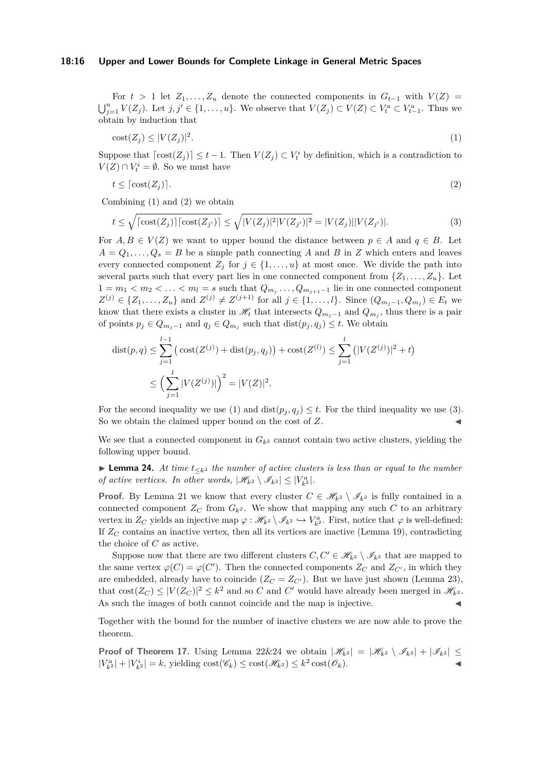#### **18:16 Upper and Lower Bounds for Complete Linkage in General Metric Spaces**

For  $t > 1$  let  $Z_1, \ldots, Z_u$  denote the connected components in  $G_{t-1}$  with  $V(Z)$  =  $\bigcup_{j=1}^{u} V(Z_j)$ . Let  $j, j' \in \{1, \ldots, u\}$ . We observe that  $V(Z_j) \subset V(Z) \subset V_t^a \subset V_{t-1}^a$ . Thus we obtain by induction that

<span id="page-15-0"></span>
$$
cost(Z_j) \le |V(Z_j)|^2. \tag{1}
$$

Suppose that  $\lceil \text{cost}(Z_j) \rceil \leq t-1$ . Then  $V(Z_j) \subset V_t^i$  by definition, which is a contradiction to  $V(Z) \cap V_t^i = \emptyset$ . So we must have

<span id="page-15-1"></span>
$$
t \le \lceil \cos(\left(Z_j\right)) \rceil. \tag{2}
$$

Combining [\(1\)](#page-15-0) and [\(2\)](#page-15-1) we obtain

<span id="page-15-2"></span>
$$
t \leq \sqrt{\left[\text{cost}(Z_j)\right] \left[\text{cost}(Z_{j'})\right]} \leq \sqrt{|V(Z_j)|^2 |V(Z_{j'})|^2} = |V(Z_j)||V(Z_{j'})|.
$$
\n(3)

For  $A, B \in V(Z)$  we want to upper bound the distance between  $p \in A$  and  $q \in B$ . Let  $A = Q_1, \ldots, Q_s = B$  be a simple path connecting *A* and *B* in *Z* which enters and leaves every connected component  $Z_j$  for  $j \in \{1, \ldots, u\}$  at most once. We divide the path into several parts such that every part lies in one connected component from  $\{Z_1, \ldots, Z_u\}$ . Let  $1 = m_1 < m_2 < \ldots < m_l = s$  such that  $Q_{m_j} \ldots Q_{m_{j+1}-1}$  lie in one connected component  $Z^{(j)} \in \{Z_1, \ldots, Z_u\}$  and  $Z^{(j)} \neq Z^{(j+1)}$  for all  $j \in \{1, \ldots, l\}$ . Since  $(Q_{m_j-1}, Q_{m_j}) \in E_t$  we know that there exists a cluster in  $\mathscr{H}_t$  that intersects  $Q_{m_j-1}$  and  $Q_{m_j}$ , thus there is a pair of points  $p_j \in Q_{m_j-1}$  and  $q_j \in Q_{m_j}$  such that  $dist(p_j, q_j) \leq t$ . We obtain

$$
\text{dist}(p, q) \le \sum_{j=1}^{l-1} \left( \text{cost}(Z^{(j)}) + \text{dist}(p_j, q_j) \right) + \text{cost}(Z^{(l)}) \le \sum_{j=1}^{l} \left( |V(Z^{(j)})|^2 + t \right) \le \left( \sum_{j=1}^{l} |V(Z^{(j)})| \right)^2 = |V(Z)|^2.
$$

For the second inequality we use [\(1\)](#page-15-0) and  $dist(p_i, q_i) \leq t$ . For the third inequality we use [\(3\)](#page-15-2). So we obtain the claimed upper bound on the cost of  $Z$ .

We see that a connected component in  $G_{k^2}$  cannot contain two active clusters, yielding the following upper bound.

<span id="page-15-3"></span>▶ **Lemma 24.** *At time t*<sup>≤</sup>*k*<sup>2</sup> *the number of active clusters is less than or equal to the number of active vertices. In other words,*  $|\mathcal{H}_{k^2} \setminus \mathcal{I}_{k^2}| \leq |V_k^a|$ .

**Proof.** By Lemma [21](#page-13-0) we know that every cluster  $C \in \mathcal{H}_{k^2} \setminus \mathcal{I}_{k^2}$  is fully contained in a connected component  $Z_C$  from  $G_{k^2}$ . We show that mapping any such C to an arbitrary vertex in  $Z_C$  yields an injective map  $\varphi : \mathscr{H}_{k^2} \setminus \mathscr{I}_{k^2} \hookrightarrow V_{k^2}^a$ . First, notice that  $\varphi$  is well-defined: If  $Z_C$  contains an inactive vertex, then all its vertices are inactive (Lemma [19\)](#page-12-1), contradicting the choice of *C* as active.

Suppose now that there are two different clusters  $C, C' \in \mathcal{H}_{k^2} \setminus \mathcal{I}_{k^2}$  that are mapped to the same vertex  $\varphi(C) = \varphi(C')$ . Then the connected components  $Z_C$  and  $Z_{C'}$ , in which they are embedded, already have to coincide  $(Z_C = Z_{C'})$ . But we have just shown (Lemma [23\)](#page-14-0), that  $\text{cost}(Z_C) \le |V(Z_C)|^2 \le k^2$  and so *C* and *C'* would have already been merged in  $\mathcal{H}_{k^2}$ . As such the images of both cannot coincide and the map is injective.

Together with the bound for the number of inactive clusters we are now able to prove the theorem.

**Proof of Theorem [17.](#page-12-2)** Using Lemma [22&](#page-13-1)[24](#page-15-3) we obtain  $|\mathcal{H}_{k^2}| = |\mathcal{H}_{k^2} \setminus \mathcal{I}_{k^2}| + |\mathcal{I}_{k^2}| \le$  $|V_{k^2}^a| + |V_{k^2}^i| = k$ , yielding  $\text{cost}(\mathscr{C}_k) \leq \text{cost}(\mathscr{H}_{k^2}) \leq k^2 \text{cost}(\mathscr{O}_k)$ .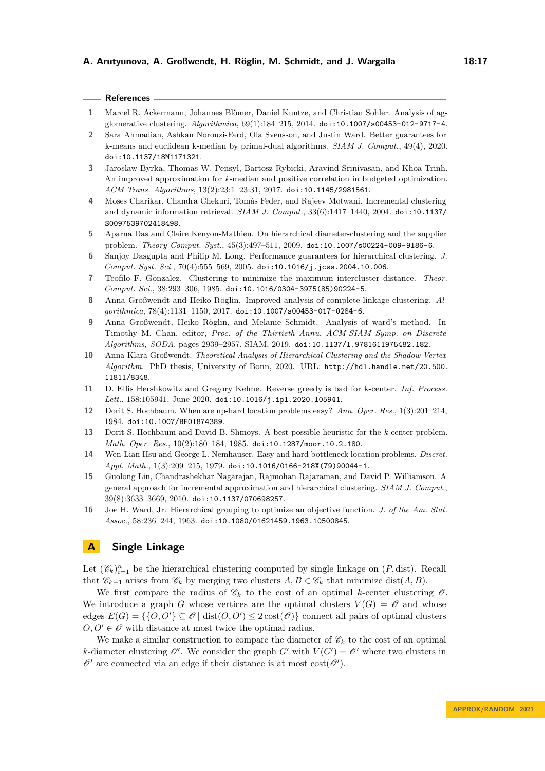- <span id="page-16-13"></span>**1** Marcel R. Ackermann, Johannes Blömer, Daniel Kuntze, and Christian Sohler. Analysis of agglomerative clustering. *Algorithmica*, 69(1):184–215, 2014. [doi:10.1007/s00453-012-9717-4](https://doi.org/10.1007/s00453-012-9717-4).
- <span id="page-16-10"></span>**2** Sara Ahmadian, Ashkan Norouzi-Fard, Ola Svensson, and Justin Ward. Better guarantees for k-means and euclidean k-median by primal-dual algorithms. *SIAM J. Comput.*, 49(4), 2020. [doi:10.1137/18M1171321](https://doi.org/10.1137/18M1171321).
- <span id="page-16-9"></span>**3** Jaroslaw Byrka, Thomas W. Pensyl, Bartosz Rybicki, Aravind Srinivasan, and Khoa Trinh. An improved approximation for *k*-median and positive correlation in budgeted optimization. *ACM Trans. Algorithms*, 13(2):23:1–23:31, 2017. [doi:10.1145/2981561](https://doi.org/10.1145/2981561).
- <span id="page-16-7"></span>**4** Moses Charikar, Chandra Chekuri, Tomás Feder, and Rajeev Motwani. Incremental clustering and dynamic information retrieval. *SIAM J. Comput.*, 33(6):1417–1440, 2004. [doi:10.1137/](https://doi.org/10.1137/S0097539702418498) [S0097539702418498](https://doi.org/10.1137/S0097539702418498).
- <span id="page-16-11"></span>**5** Aparna Das and Claire Kenyon-Mathieu. On hierarchical diameter-clustering and the supplier problem. *Theory Comput. Syst.*, 45(3):497–511, 2009. [doi:10.1007/s00224-009-9186-6](https://doi.org/10.1007/s00224-009-9186-6).
- <span id="page-16-0"></span>**6** Sanjoy Dasgupta and Philip M. Long. Performance guarantees for hierarchical clustering. *J. Comput. Syst. Sci.*, 70(4):555–569, 2005. [doi:10.1016/j.jcss.2004.10.006](https://doi.org/10.1016/j.jcss.2004.10.006).
- <span id="page-16-3"></span>**7** Teofilo F. Gonzalez. Clustering to minimize the maximum intercluster distance. *Theor. Comput. Sci.*, 38:293–306, 1985. [doi:10.1016/0304-3975\(85\)90224-5](https://doi.org/10.1016/0304-3975(85)90224-5).
- <span id="page-16-14"></span>**8** Anna Großwendt and Heiko Röglin. Improved analysis of complete-linkage clustering. *Algorithmica*, 78(4):1131–1150, 2017. [doi:10.1007/s00453-017-0284-6](https://doi.org/10.1007/s00453-017-0284-6).
- <span id="page-16-15"></span>**9** Anna Großwendt, Heiko Röglin, and Melanie Schmidt. Analysis of ward's method. In Timothy M. Chan, editor, *Proc. of the Thirtieth Annu. ACM-SIAM Symp. on Discrete Algorithms, SODA*, pages 2939–2957. SIAM, 2019. [doi:10.1137/1.9781611975482.182](https://doi.org/10.1137/1.9781611975482.182).
- <span id="page-16-12"></span>**10** Anna-Klara Großwendt. *Theoretical Analysis of Hierarchical Clustering and the Shadow Vertex Algorithm*. PhD thesis, University of Bonn, 2020. URL: [http://hdl.handle.net/20.500.](http://hdl.handle.net/20.500.11811/8348) [11811/8348](http://hdl.handle.net/20.500.11811/8348).
- <span id="page-16-5"></span>**11** D. Ellis Hershkowitz and Gregory Kehne. Reverse greedy is bad for k-center. *Inf. Process. Lett.*, 158:105941, June 2020. [doi:10.1016/j.ipl.2020.105941](https://doi.org/10.1016/j.ipl.2020.105941).
- <span id="page-16-1"></span>**12** Dorit S. Hochbaum. When are np-hard location problems easy? *Ann. Oper. Res.*, 1(3):201–214, 1984. [doi:10.1007/BF01874389](https://doi.org/10.1007/BF01874389).
- <span id="page-16-4"></span>**13** Dorit S. Hochbaum and David B. Shmoys. A best possible heuristic for the *k*-center problem. *Math. Oper. Res.*, 10(2):180–184, 1985. [doi:10.1287/moor.10.2.180](https://doi.org/10.1287/moor.10.2.180).
- <span id="page-16-2"></span>**14** Wen-Lian Hsu and George L. Nemhauser. Easy and hard bottleneck location problems. *Discret. Appl. Math.*, 1(3):209–215, 1979. [doi:10.1016/0166-218X\(79\)90044-1](https://doi.org/10.1016/0166-218X(79)90044-1).
- <span id="page-16-8"></span>**15** Guolong Lin, Chandrashekhar Nagarajan, Rajmohan Rajaraman, and David P. Williamson. A general approach for incremental approximation and hierarchical clustering. *SIAM J. Comput.*, 39(8):3633–3669, 2010. [doi:10.1137/070698257](https://doi.org/10.1137/070698257).
- <span id="page-16-6"></span>**16** Joe H. Ward, Jr. Hierarchical grouping to optimize an objective function. *J. of the Am. Stat. Assoc.*, 58:236–244, 1963. [doi:10.1080/01621459.1963.10500845](https://doi.org/10.1080/01621459.1963.10500845).

# <span id="page-16-16"></span>**A Single Linkage**

Let  $(\mathscr{C}_k)_{i=1}^n$  be the hierarchical clustering computed by single linkage on  $(P, dist)$ . Recall that  $\mathscr{C}_{k-1}$  arises from  $\mathscr{C}_k$  by merging two clusters  $A, B \in \mathscr{C}_k$  that minimize dist $(A, B)$ .

We first compare the radius of  $\mathscr{C}_k$  to the cost of an optimal *k*-center clustering  $\mathscr{O}$ . We introduce a graph *G* whose vertices are the optimal clusters  $V(G) = \mathcal{O}$  and whose edges  $E(G) = \{ \{O, O'\} \subseteq \mathcal{O} \mid \text{dist}(O, O') \leq 2\cos(\mathcal{O}) \}$  connect all pairs of optimal clusters  $O, O' \in \mathcal{O}$  with distance at most twice the optimal radius.

We make a similar construction to compare the diameter of  $\mathscr{C}_k$  to the cost of an optimal *k*-diameter clustering  $\mathcal{O}'$ . We consider the graph *G'* with  $V(G') = \mathcal{O}'$  where two clusters in  $\mathscr{O}'$  are connected via an edge if their distance is at most  $cost(\mathscr{O}')$ .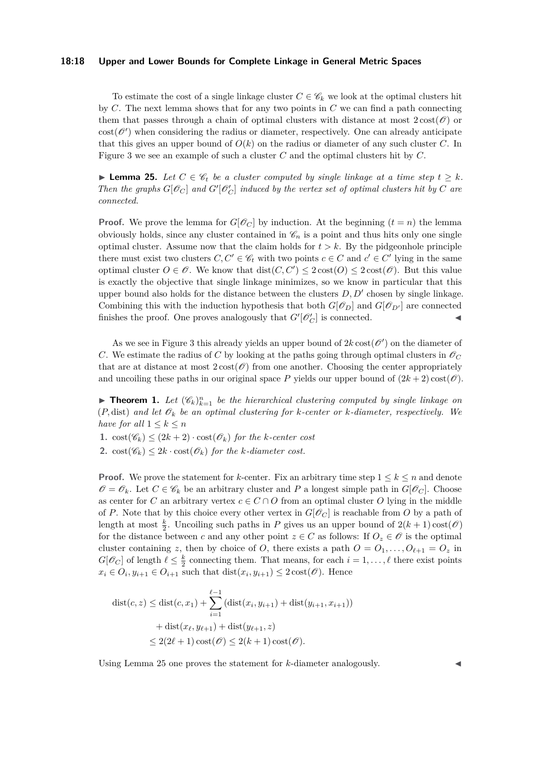#### **18:18 Upper and Lower Bounds for Complete Linkage in General Metric Spaces**

To estimate the cost of a single linkage cluster  $C \in \mathscr{C}_k$  we look at the optimal clusters hit by *C*. The next lemma shows that for any two points in *C* we can find a path connecting them that passes through a chain of optimal clusters with distance at most  $2\cos(\mathcal{O})$  or  $cost(\mathcal{O}')$  when considering the radius or diameter, respectively. One can already anticipate that this gives an upper bound of  $O(k)$  on the radius or diameter of any such cluster *C*. In Figure [3](#page-18-1) we see an example of such a cluster *C* and the optimal clusters hit by *C*.

<span id="page-17-0"></span>▶ **Lemma 25.** *Let*  $C \in \mathcal{C}_t$  *be a cluster computed by single linkage at a time step*  $t \geq k$ *. Then the graphs*  $G[\mathcal{O}_C]$  *and*  $G'[\mathcal{O}'_C]$  *induced by the vertex set of optimal clusters hit by*  $C$  *are connected.*

**Proof.** We prove the lemma for  $G[\mathscr{O}_C]$  by induction. At the beginning  $(t = n)$  the lemma obviously holds, since any cluster contained in  $\mathcal{C}_n$  is a point and thus hits only one single optimal cluster. Assume now that the claim holds for  $t > k$ . By the pidgeonhole principle there must exist two clusters  $C, C' \in \mathscr{C}_t$  with two points  $c \in C$  and  $c' \in C'$  lying in the same optimal cluster  $O \in \mathscr{O}$ . We know that  $dist(C, C') \leq 2\cos(\mathscr{O}) \leq 2\cos(\mathscr{O})$ . But this value is exactly the objective that single linkage minimizes, so we know in particular that this upper bound also holds for the distance between the clusters *D, D*′ chosen by single linkage. Combining this with the induction hypothesis that both  $G[\mathscr{O}_D]$  and  $G[\mathscr{O}_{D'}]$  are connected finishes the proof. One proves analogously that  $G'[\mathcal{O}'_C]$  is connected.

As we see in Figure [3](#page-18-1) this already yields an upper bound of  $2k\cos(\mathcal{O}')$  on the diameter of *C*. We estimate the radius of *C* by looking at the paths going through optimal clusters in  $\mathcal{O}_C$ that are at distance at most  $2 \text{ cost}(\mathscr{O})$  from one another. Choosing the center appropriately and uncoiling these paths in our original space P yields our upper bound of  $(2k + 2) \cos(\mathcal{O})$ .

**• Theorem 1.** Let  $(\mathscr{C}_k)_{k=1}^n$  be the hierarchical clustering computed by single linkage on  $(P, dist)$  and let  $\mathcal{O}_k$  be an optimal clustering for *k*-center or *k*-diameter, respectively. We *have for all*  $1 \leq k \leq n$ 

- 1.  $\cos(t\mathscr{C}_k) \leq (2k+2) \cdot \cos(t\mathscr{O}_k)$  *for the k-center cost*
- **2.**  $\text{cost}(\mathscr{C}_k) \leq 2k \cdot \text{cost}(\mathscr{O}_k)$  *for the k-diameter cost.*

**Proof.** We prove the statement for *k*-center. Fix an arbitrary time step  $1 \leq k \leq n$  and denote  $\mathscr{O} = \mathscr{O}_k$ . Let  $C \in \mathscr{C}_k$  be an arbitrary cluster and P a longest simple path in  $G[\mathscr{O}_C]$ . Choose as center for *C* an arbitrary vertex  $c \in C \cap O$  from an optimal cluster *O* lying in the middle of *P*. Note that by this choice every other vertex in  $G[\mathscr{O}_C]$  is reachable from *O* by a path of length at most  $\frac{k}{2}$ . Uncoiling such paths in *P* gives us an upper bound of  $2(k+1)\cos(\mathcal{O})$ for the distance between *c* and any other point  $z \in C$  as follows: If  $O_z \in \mathscr{O}$  is the optimal cluster containing *z*, then by choice of *O*, there exists a path  $O = O_1, \ldots, O_{\ell+1} = O_z$  in  $G[\mathscr{O}_C]$  of length  $\ell \leq \frac{k}{2}$  connecting them. That means, for each  $i = 1, \ldots, \ell$  there exist points  $x_i \in O_i, y_{i+1} \in O_{i+1}$  such that  $dist(x_i, y_{i+1}) \leq 2 \cos(\mathcal{O})$ . Hence

$$
dist(c, z) \leq dist(c, x_1) + \sum_{i=1}^{\ell-1} (dist(x_i, y_{i+1}) + dist(y_{i+1}, x_{i+1}))
$$

$$
+ dist(x_{\ell}, y_{\ell+1}) + dist(y_{\ell+1}, z)
$$

$$
\leq 2(2\ell+1)\cos(t\mathscr{O}) \leq 2(k+1)\cos(t\mathscr{O}).
$$

Using Lemma [25](#page-17-0) one proves the statement for *k*-diameter analogously.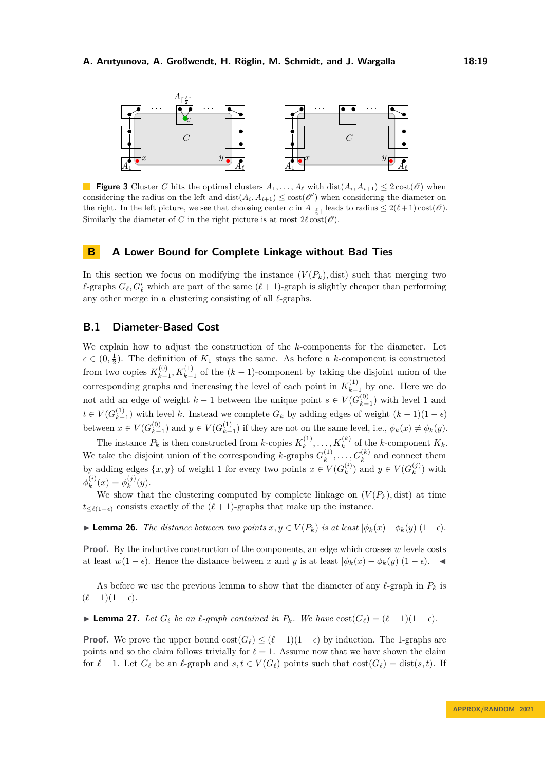<span id="page-18-1"></span>

**Figure 3** Cluster *C* hits the optimal clusters  $A_1, \ldots, A_\ell$  with  $dist(A_i, A_{i+1}) \leq 2 \cos(\ell)$  when considering the radius on the left and  $dist(A_i, A_{i+1}) \leq cost(\mathscr{O}')$  when considering the diameter on the right. In the left picture, we see that choosing center *c* in  $A_{\lceil \frac{\ell}{2} \rceil}$  leads to radius  $\leq 2(\ell+1)\cos(\ell)$ . Similarly the diameter of *C* in the right picture is at most  $2\ell \cos(\mathcal{O})$ .

### <span id="page-18-0"></span>**B A Lower Bound for Complete Linkage without Bad Ties**

In this section we focus on modifying the instance  $(V(P_k),$  dist) such that merging two  $\ell$ -graphs  $G_{\ell}, G'_{\ell}$  which are part of the same  $(\ell + 1)$ -graph is slightly cheaper than performing any other merge in a clustering consisting of all *ℓ*-graphs.

### **B.1 Diameter-Based Cost**

We explain how to adjust the construction of the *k*-components for the diameter. Let  $\epsilon \in (0, \frac{1}{2})$ . The definition of  $K_1$  stays the same. As before a *k*-component is constructed from two copies  $K_{k-}^{(0)}$  $K_{k-1}^{(0)}$ ,  $K_{k-1}^{(1)}$  of the  $(k-1)$ -component by taking the disjoint union of the corresponding graphs and increasing the level of each point in  $K_{k-}^{(1)}$  $k-1$  by one. Here we do not add an edge of weight  $k-1$  between the unique point  $s \in V(G_{k-1}^{(0)})$  $\binom{0}{k-1}$  with level 1 and  $t \in V(G_{k-1}^{(1)})$  $\binom{1}{k-1}$  with level *k*. Instead we complete  $G_k$  by adding edges of weight  $(k-1)(1-\epsilon)$ between  $x \in V(G_{k-1}^{(0)})$  $\binom{0}{k-1}$  and *y* ∈ *V*( $G_{k-1}^{(1)}$ )  $\binom{1}{k-1}$  if they are not on the same level, i.e.,  $\phi_k(x) \neq \phi_k(y)$ .

The instance  $P_k$  is then constructed from *k*-copies  $K_k^{(1)}$  $K_k^{(1)}, \ldots, K_k^{(k)}$  of the *k*-component  $K_k$ . We take the disjoint union of the corresponding *k*-graphs  $G_k^{(1)}$  $a_k^{(1)}, \ldots, G_k^{(k)}$  and connect them by adding edges  $\{x, y\}$  of weight 1 for every two points  $x \in V(G_k^{(i)})$  $y_k^{(i)}$  and  $y \in V(G_k^{(j)})$  $\binom{J}{k}$  with  $\phi_k^{(i)}$  $\phi_k^{(i)}(x) = \phi_k^{(j)}$  $f_k^{(J)}(y)$ .

We show that the clustering computed by complete linkage on  $(V(P_k),$  dist) at time  $t \leq \ell(1-\epsilon)$  consists exactly of the  $(\ell+1)$ -graphs that make up the instance.

<span id="page-18-2"></span>▶ **Lemma 26.** *The distance between two points*  $x, y \in V(P_k)$  *is at least*  $|\phi_k(x) - \phi_k(y)|(1-\epsilon)$ *.* 

**Proof.** By the inductive construction of the components, an edge which crosses *w* levels costs at least  $w(1 - \epsilon)$ . Hence the distance between *x* and *y* is at least  $|\phi_k(x) - \phi_k(y)|(1 - \epsilon)$ .

As before we use the previous lemma to show that the diameter of any  $\ell$ -graph in  $P_k$  is  $(\ell-1)(1-\epsilon).$ 

<span id="page-18-3"></span>▶ **Lemma 27.** Let  $G_\ell$  be an  $\ell$ -graph contained in  $P_k$ *.* We have  $cost(G_\ell) = (\ell - 1)(1 - \epsilon)$ *.* 

**Proof.** We prove the upper bound  $\text{cost}(G_\ell) \leq (\ell-1)(1-\epsilon)$  by induction. The 1-graphs are points and so the claim follows trivially for  $\ell = 1$ . Assume now that we have shown the claim for  $\ell - 1$ . Let  $G_{\ell}$  be an  $\ell$ -graph and  $s, t \in V(G_{\ell})$  points such that  $\text{cost}(G_{\ell}) = \text{dist}(s, t)$ . If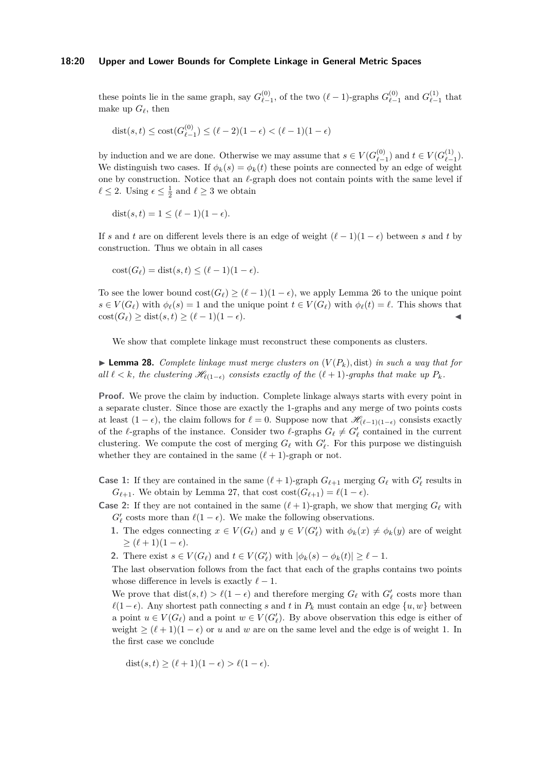#### **18:20 Upper and Lower Bounds for Complete Linkage in General Metric Spaces**

these points lie in the same graph, say  $G_{\ell}^{(0)}$  $\epsilon_{\ell-1}^{(0)}$ , of the two  $(\ell-1)$ -graphs  $G_{\ell-1}^{(0)}$  $G_{\ell-1}^{(0)}$  and  $G_{\ell-1}^{(1)}$  $\int_{\ell-1}^{(1)}$  that make up  $G_{\ell}$ , then

dist(s, t) 
$$
\leq
$$
 cost $(G_{\ell-1}^{(0)}) \leq (\ell-2)(1-\epsilon) < (\ell-1)(1-\epsilon)$ 

by induction and we are done. Otherwise we may assume that  $s \in V(G_{\ell-}^{(0)})$  $\ell_{-1}^{(0)}$  and *t* ∈ *V*( $G_{\ell-1}^{(1)}$  $\binom{1}{\ell-1}$ . We distinguish two cases. If  $\phi_k(s) = \phi_k(t)$  these points are connected by an edge of weight one by construction. Notice that an *ℓ*-graph does not contain points with the same level if  $\ell \leq 2$ . Using  $\epsilon \leq \frac{1}{2}$  and  $\ell \geq 3$  we obtain

 $dist(s, t) = 1 \leq (\ell - 1)(1 - \epsilon).$ 

If *s* and *t* are on different levels there is an edge of weight  $(\ell-1)(1-\epsilon)$  between *s* and *t* by construction. Thus we obtain in all cases

$$
cost(G_{\ell}) = dist(s, t) \leq (\ell - 1)(1 - \epsilon).
$$

To see the lower bound  $\text{cost}(G_\ell) \geq (\ell - 1)(1 - \epsilon)$ , we apply Lemma [26](#page-18-2) to the unique point  $s \in V(G_{\ell})$  with  $\phi_{\ell}(s) = 1$  and the unique point  $t \in V(G_{\ell})$  with  $\phi_{\ell}(t) = \ell$ . This shows that  $\text{cost}(G_{\ell}) > \text{dist}(s, t) > (\ell - 1)(1 - \epsilon).$ 

We show that complete linkage must reconstruct these components as clusters.

<span id="page-19-0"></span> $\blacktriangleright$  **Lemma 28.** *Complete linkage must merge clusters on*  $(V(P_k), dist)$  *in such a way that for all*  $\ell < k$ *, the clustering*  $\mathcal{H}_{\ell(1-\epsilon)}$  *consists exactly of the*  $(\ell+1)$ *-graphs that make up*  $P_k$ *.* 

**Proof.** We prove the claim by induction. Complete linkage always starts with every point in a separate cluster. Since those are exactly the 1-graphs and any merge of two points costs at least  $(1 - \epsilon)$ , the claim follows for  $\ell = 0$ . Suppose now that  $\mathscr{H}_{(\ell-1)(1-\epsilon)}$  consists exactly of the *ℓ*-graphs of the instance. Consider two *ℓ*-graphs  $G_{\ell} \neq G'_{\ell}$  contained in the current clustering. We compute the cost of merging  $G_{\ell}$  with  $G'_{\ell}$ . For this purpose we distinguish whether they are contained in the same  $(\ell + 1)$ -graph or not.

- **Case 1:** If they are contained in the same  $(\ell + 1)$ -graph  $G_{\ell+1}$  merging  $G_{\ell}$  with  $G'_{\ell}$  results in  $G_{\ell+1}$ . We obtain by Lemma [27,](#page-18-3) that cost  $\cos(f_{\ell+1}) = \ell(1 - \epsilon)$ .
- **Case 2:** If they are not contained in the same  $(\ell + 1)$ -graph, we show that merging  $G_{\ell}$  with  $G'_{\ell}$  costs more than  $\ell(1 - \epsilon)$ . We make the following observations.
	- **1.** The edges connecting  $x \in V(G_{\ell})$  and  $y \in V(G'_{\ell})$  with  $\phi_k(x) \neq \phi_k(y)$  are of weight  $\geq (\ell+1)(1-\epsilon).$
	- **2.** There exist  $s \in V(G_{\ell})$  and  $t \in V(G'_{\ell})$  with  $|\phi_k(s) \phi_k(t)| \geq \ell 1$ .

The last observation follows from the fact that each of the graphs contains two points whose difference in levels is exactly  $\ell - 1$ .

We prove that  $dist(s,t) > \ell(1-\epsilon)$  and therefore merging  $G_{\ell}$  with  $G'_{\ell}$  costs more than  $\ell(1-\epsilon)$ . Any shortest path connecting *s* and *t* in  $P_k$  must contain an edge  $\{u, w\}$  between a point  $u \in V(G_{\ell})$  and a point  $w \in V(G_{\ell}')$ . By above observation this edge is either of weight  $\geq (\ell + 1)(1 - \epsilon)$  or *u* and *w* are on the same level and the edge is of weight 1. In the first case we conclude

$$
dist(s, t) \ge (\ell + 1)(1 - \epsilon) > \ell(1 - \epsilon).
$$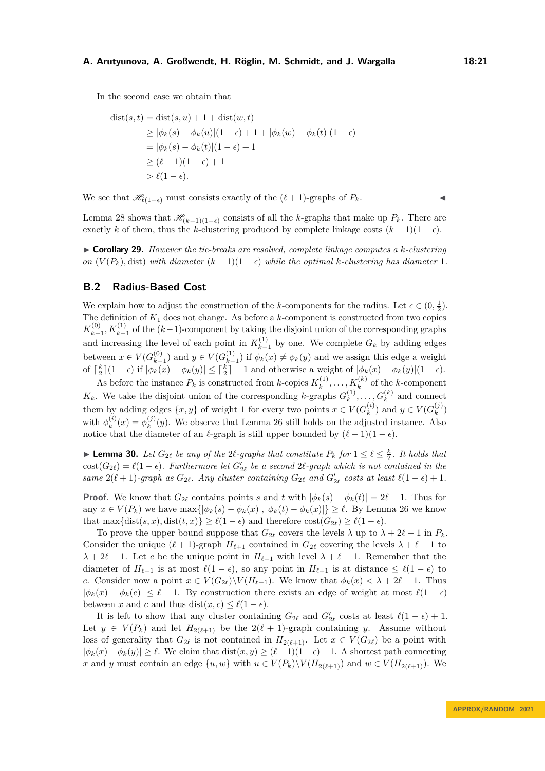In the second case we obtain that

$$
dist(s,t) = dist(s, u) + 1 + dist(w, t)
$$
  
\n
$$
\geq |\phi_k(s) - \phi_k(u)|(1 - \epsilon) + 1 + |\phi_k(w) - \phi_k(t)|(1 - \epsilon)
$$
  
\n
$$
= |\phi_k(s) - \phi_k(t)|(1 - \epsilon) + 1
$$
  
\n
$$
\geq (\ell - 1)(1 - \epsilon) + 1
$$
  
\n
$$
> \ell(1 - \epsilon).
$$

We see that  $\mathcal{H}_{\ell(1-\epsilon)}$  must consists exactly of the  $(\ell+1)$ -graphs of  $P_k$ .

Lemma [28](#page-19-0) shows that  $\mathcal{H}_{(k-1)(1-\epsilon)}$  consists of all the *k*-graphs that make up  $P_k$ . There are exactly *k* of them, thus the *k*-clustering produced by complete linkage costs  $(k-1)(1-\epsilon)$ .

▶ **Corollary 29.** *However the tie-breaks are resolved, complete linkage computes a k-clustering on*  $(V(P_k),$  dist) *with diameter*  $(k-1)(1-\epsilon)$  *while the optimal k-clustering has diameter* 1*.* 

# **B.2 Radius-Based Cost**

We explain how to adjust the construction of the *k*-components for the radius. Let  $\epsilon \in (0, \frac{1}{2})$ . The definition of *K*<sup>1</sup> does not change. As before a *k*-component is constructed from two copies  $K_{k-}^{(0)}$  $\binom{0}{k-1}$ ,  $K_{k-1}^{(1)}$  of the  $(k-1)$ -component by taking the disjoint union of the corresponding graphs and increasing the level of each point in  $K_{k-}^{(1)}$  $\binom{1}{k-1}$  by one. We complete  $G_k$  by adding edges between  $x \in V(G_{k-1}^{(0)})$  $\binom{0}{k-1}$  and *y* ∈ *V*( $G_k^{(1)}$  $\phi_{k-1}^{(1)}$  if  $\phi_k(x) \neq \phi_k(y)$  and we assign this edge a weight of  $\lceil \frac{k}{2} \rceil (1 - \epsilon)$  if  $|\phi_k(x) - \phi_k(y)| \leq \lceil \frac{k}{2} \rceil - 1$  and otherwise a weight of  $|\phi_k(x) - \phi_k(y)| (1 - \epsilon)$ .

As before the instance  $P_k$  is constructed from *k*-copies  $K_k^{(1)}$  $k_k^{(1)}, \ldots, K_k^{(k)}$  of the *k*-component  $K_k$ . We take the disjoint union of the corresponding *k*-graphs  $G_k^{(1)}$  $a_k^{(1)}, \ldots, G_k^{(k)}$  and connect them by adding edges  $\{x, y\}$  of weight 1 for every two points  $x \in V(G_k^{(i)})$  $y \in V(G_k^{(j)})$  and  $y \in V(G_k^{(j)})$  $\binom{(J)}{k}$ with  $\phi_k^{(i)}$  $\phi_k^{(i)}(x) = \phi_k^{(j)}$  $k^{(j)}(y)$ . We observe that Lemma [26](#page-18-2) still holds on the adjusted instance. Also notice that the diameter of an  $\ell$ -graph is still upper bounded by  $(\ell - 1)(1 - \epsilon)$ .

▶ **Lemma 30.** *Let*  $G_{2\ell}$  *be any of the* 2 $\ell$ -graphs that constitute  $P_k$  for  $1 \leq \ell \leq \frac{k}{2}$ *. It holds that*  $cost(G_{2\ell}) = \ell(1 - \epsilon)$ *. Furthermore let*  $G'_{2\ell}$  *be a second*  $2\ell$ -graph which is not contained in the *same*  $2(\ell + 1)$ *-graph as*  $G_{2\ell}$ *. Any cluster containing*  $G_{2\ell}$  *and*  $G'_{2\ell}$  *costs at least*  $\ell(1 - \epsilon) + 1$ *.* 

**Proof.** We know that  $G_{2\ell}$  contains points *s* and *t* with  $|\phi_k(s) - \phi_k(t)| = 2\ell - 1$ . Thus for any  $x \in V(P_k)$  we have  $\max\{|\phi_k(s) - \phi_k(x)|, |\phi_k(t) - \phi_k(x)|\} \geq \ell$ . By Lemma [26](#page-18-2) we know that max $\{dist(s, x), dist(t, x)\} \geq \ell(1 - \epsilon)$  and therefore  $cost(G_{2\ell}) \geq \ell(1 - \epsilon)$ .

To prove the upper bound suppose that  $G_{2\ell}$  covers the levels  $\lambda$  up to  $\lambda + 2\ell - 1$  in  $P_k$ . Consider the unique  $(\ell + 1)$ -graph  $H_{\ell+1}$  contained in  $G_{2\ell}$  covering the levels  $\lambda + \ell - 1$  to  $\lambda + 2\ell - 1$ . Let *c* be the unique point in  $H_{\ell+1}$  with level  $\lambda + \ell - 1$ . Remember that the diameter of  $H_{\ell+1}$  is at most  $\ell(1-\epsilon)$ , so any point in  $H_{\ell+1}$  is at distance  $\leq \ell(1-\epsilon)$  to *c*. Consider now a point  $x \in V(G_{2\ell})\backslash V(H_{\ell+1})$ . We know that  $\phi_k(x) < \lambda + 2\ell - 1$ . Thus  $|\phi_k(x) - \phi_k(c)| \leq \ell - 1$ . By construction there exists an edge of weight at most  $\ell(1 - \epsilon)$ between *x* and *c* and thus dist $(x, c) \leq \ell(1 - \epsilon)$ .

It is left to show that any cluster containing  $G_{2\ell}$  and  $G'_{2\ell}$  costs at least  $\ell(1-\epsilon) + 1$ . Let  $y \in V(P_k)$  and let  $H_{2(\ell+1)}$  be the  $2(\ell+1)$ -graph containing *y*. Assume without loss of generality that  $G_{2\ell}$  is not contained in  $H_{2(\ell+1)}$ . Let  $x \in V(G_{2\ell})$  be a point with  $|\phi_k(x) - \phi_k(y)| \ge \ell$ . We claim that dist $(x, y) \ge (\ell-1)(1-\epsilon) + 1$ . A shortest path connecting *x* and *y* must contain an edge  $\{u, w\}$  with  $u \in V(P_k) \setminus V(H_{2(\ell+1)})$  and  $w \in V(H_{2(\ell+1)})$ . We